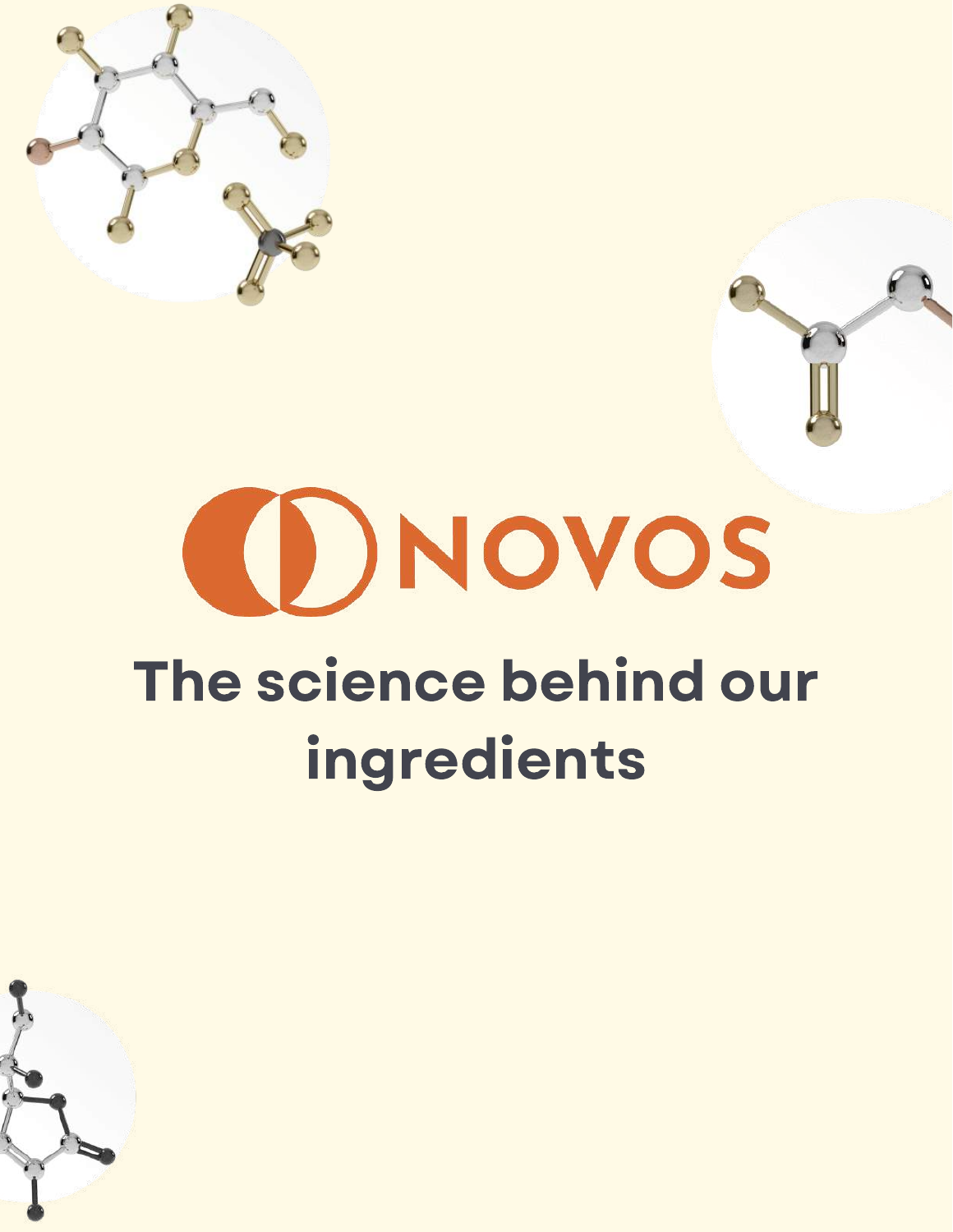

# (I)NOVOS The science behind our

## ingredients

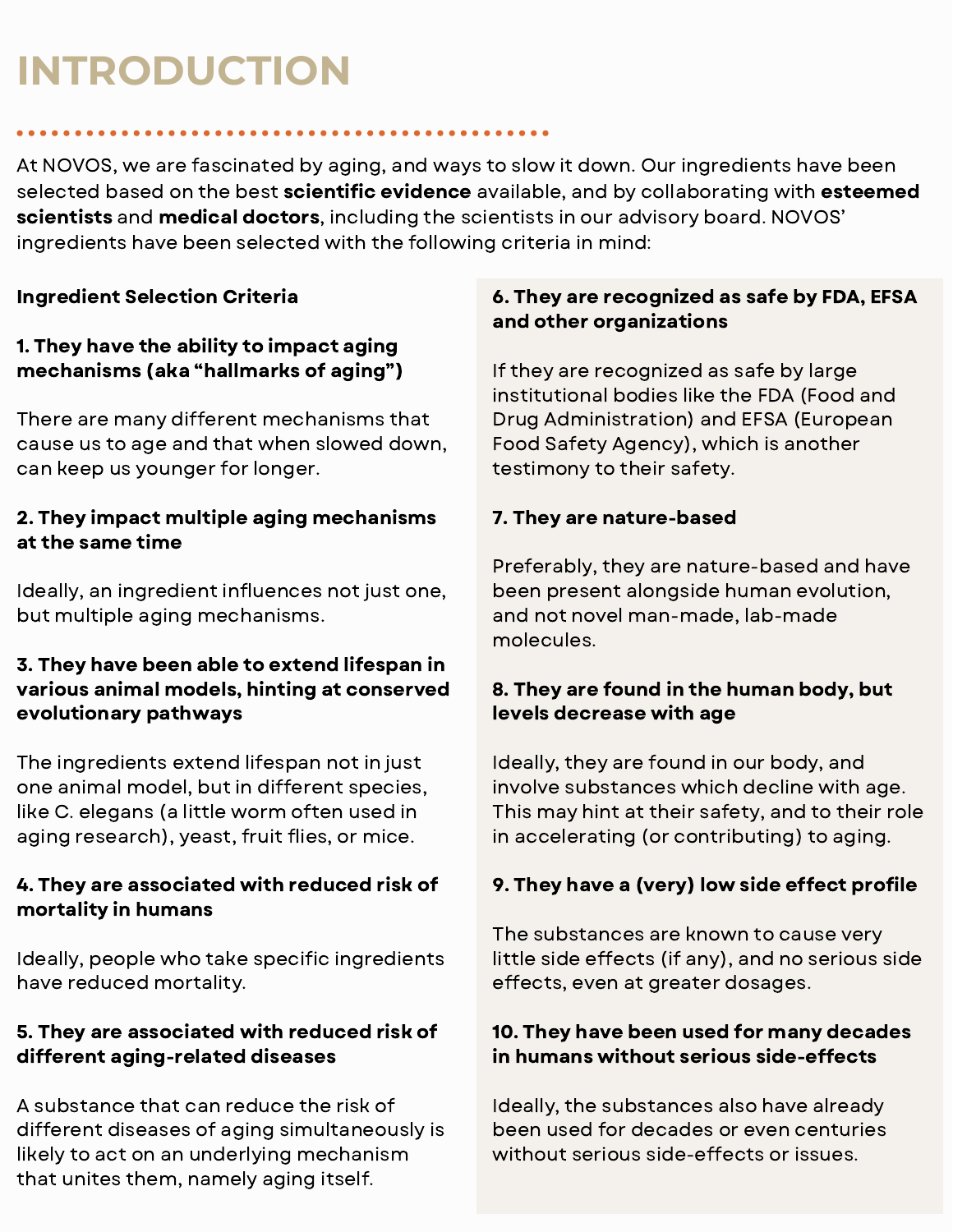## **INTRODUCTION**

At NOVOS, we are fascinated by aging, and ways to slow it down. Our ingredients have been selected based on the best **scientific evidence** available, and by collaborating with **esteemed** scientists and medical doctors, including the scientists in our advisory board. NOVOS' ingredients have been selected with the following criteria in mind:

### Ingredient Selection Criteria

#### 1. They have the ability to impact aging mechanisms (aka "hallmarks of aging")

There are many different mechanisms that cause us to age and that when slowed down, can keep us younger for longer.

#### 2. They impact multiple aging mechanisms at the same time

Ideally, an ingredient influences not just one, but multiple aging mechanisms.

#### 3. They have been able to extend lifespan in various animal models, hinting at conserved evolutionary pathways

The ingredients extend lifespan not in just one animal model, but in different species, like C. elegans (a little worm often used in aging research), yeast, fruit flies, or mice.

### 4. They are associated with reduced risk of mortality in humans

Ideally, people who take specific ingredients have reduced mortality.

## 5. They are associated with reduced risk of different aging-related diseases

A substance that can reduce the risk of different diseases of aging simultaneously is likely to act on an underlying mechanism that unites them, namely aging itself.

### 6. They are recognized as safe by FDA, EFSA and other organizations

If they are recognized as safe by large institutional bodies like the FDA (Food and Drug Administration) and EFSA (European Food Safety Agency), which is another testimony to their safety.

#### 7. They are nature-based

Preferably, they are nature-based and have been present alongside human evolution, and not novel man-made, lab-made molecules.

#### 8. They are found in the human body, but levels decrease with age

Ideally, they are found in our body, and involve substances which decline with age. This may hint at their safety, and to their role in accelerating (or contributing) to aging.

#### 9. They have a (very) low side effect profile

The substances are known to cause very little side effects (if any), and no serious side effects, even at greater dosages.

### 10. They have been used for many decades in humans without serious side-effects

Ideally, the substances also have already been used for decades or even centuries without serious side-effects or issues.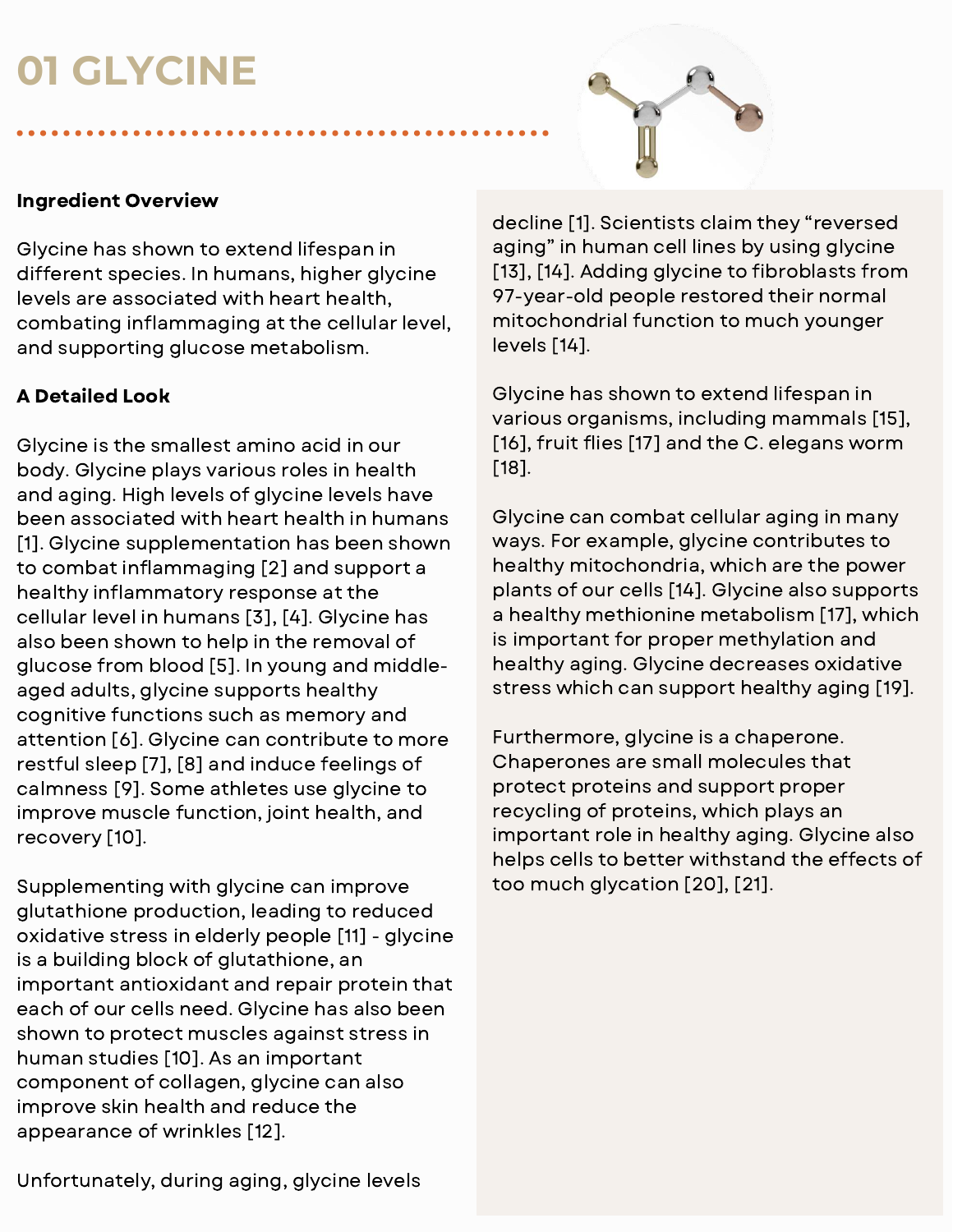## **01 GLYCINE**



#### Ingredient Overview

Glycine has shown to extend lifespan in different species. In humans, higher glycine levels are associated with heart health, combating inflammaging at the cellular level, and supporting glucose metabolism.

### A Detailed Look

Glycine is the smallest amino acid in our body. Glycine plays various roles in health and aging. High levels of glycine levels have been associated with heart health in humans [1]. Glycine supplementation has been shown to combat inflammaging [2] and support a healthy inflammatory response at the cellular level in humans [3], [4]. Glycine has also been shown to help in the removal of glucose from blood [5]. In young and middleaged adults, glycine supports healthy cognitive functions such as memory and attention [6]. Glycine can contribute to more restful sleep [7], [8] and induce feelings of calmness [9]. Some athletes use glycine to improve muscle function, joint health, and recovery [10].

Supplementing with glycine can improve glutathione production, leading to reduced oxidative stress in elderly people [11] - glycine is a building block of glutathione, an important antioxidant and repair protein that each of our cells need. Glycine has also been shown to protect muscles against stress in human studies [10]. As an important component of collagen, glycine can also improve skin health and reduce the appearance of wrinkles [12].

decline [1]. Scientists claim they "reversed aging" in human cell lines by using glycine [13], [14]. Adding glycine to fibroblasts from 97-year-old people restored their normal mitochondrial function to much younger levels [14].

Glycine has shown to extend lifespan in various organisms, including mammals [15], [16], fruit flies [17] and the C. elegans worm [18].

Glycine can combat cellular aging in many ways. For example, glycine contributes to healthy mitochondria, which are the power plants of our cells [14]. Glycine also supports a healthy methionine metabolism [17], which is important for proper methylation and healthy aging. Glycine decreases oxidative stress which can support healthy aging [19].

Furthermore, glycine is a chaperone. Chaperones are small molecules that protect proteins and support proper recycling of proteins, which plays an important role in healthy aging. Glycine also helps cells to better withstand the effects of too much glycation [20], [21].

Unfortunately, during aging, glycine levels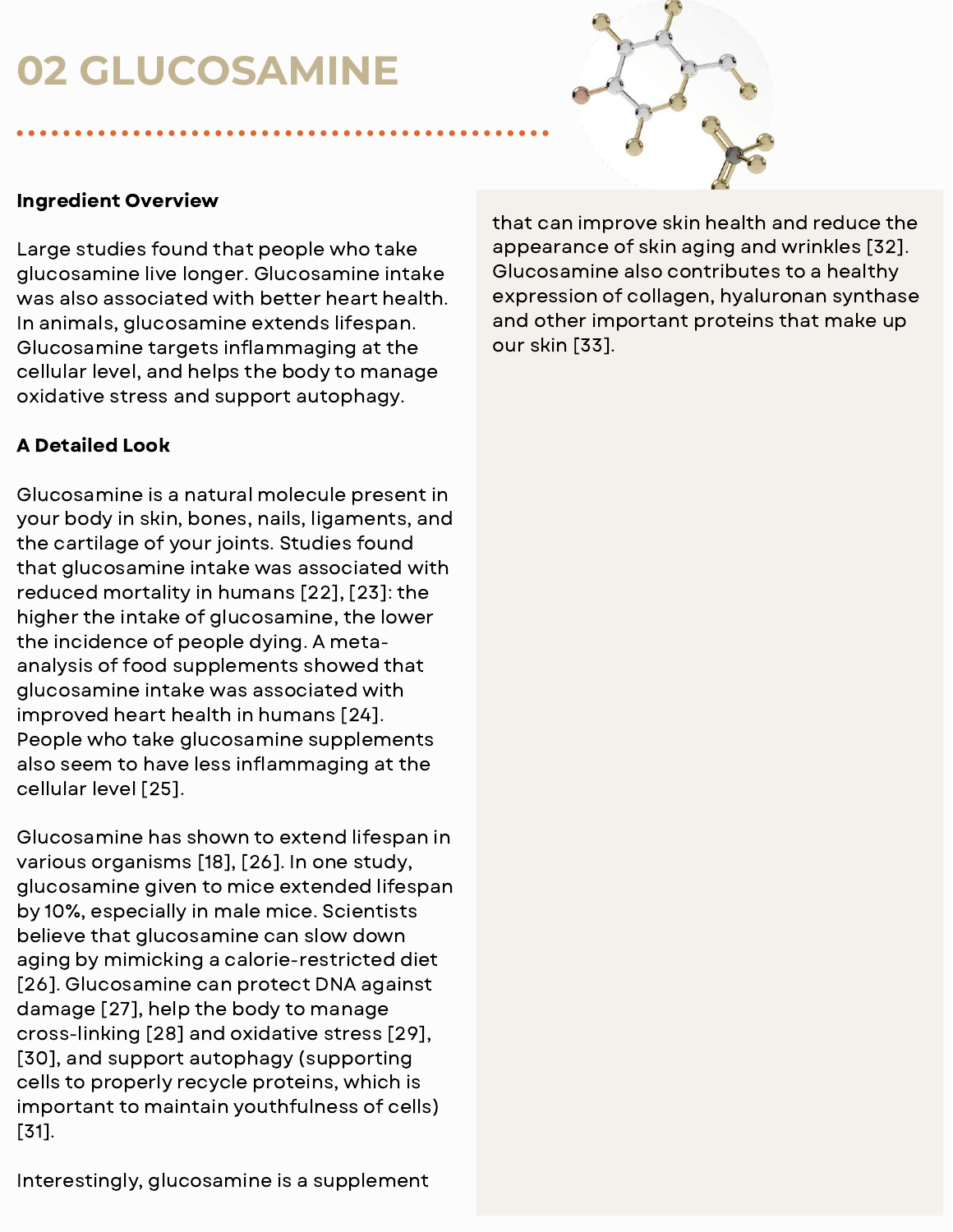## **02 GLUCOSAMINE**



#### Ingredient Overview

Large studies found that people who take glucosamine live longer. Glucosamine intake was also associated with better heart health. In animals, glucosamine extends lifespan. Glucosamine targets inflammaging at the cellular level, and helps the body to manage oxidative stress and support autophagy.

#### A Detailed Look

Glucosamine is a natural molecule present in your body in skin, bones, nails, ligaments, and the cartilage of your joints. Studies found that glucosamine intake was associated with reduced mortality in humans [22], [23]: the higher the intake of glucosamine, the lower the incidence of people dying. A metaanalysis of food supplements showed that glucosamine intake was associated with improved heart health in humans [24]. People who take glucosamine supplements also seem to have less inflammaging at the cellular level [25].

Glucosamine has shown to extend lifespan in various organisms [18], [26]. In one study, glucosamine given to mice extended lifespan by 10%, especially in male mice. Scientists believe that glucosamine can slow down aging by mimicking a calorie-restricted diet [26]. Glucosamine can protect DNA against damage [27], help the body to manage cross-linking [28] and oxidative stress [29], [30], and support autophagy (supporting cells to properly recycle proteins, which is important to maintain youthfulness of cells) [31].

that can improve skin health and reduce the appearance of skin aging and wrinkles [32]. Glucosamine also contributes to a healthy expression of collagen, hyaluronan synthase and other important proteins that make up our skin [33].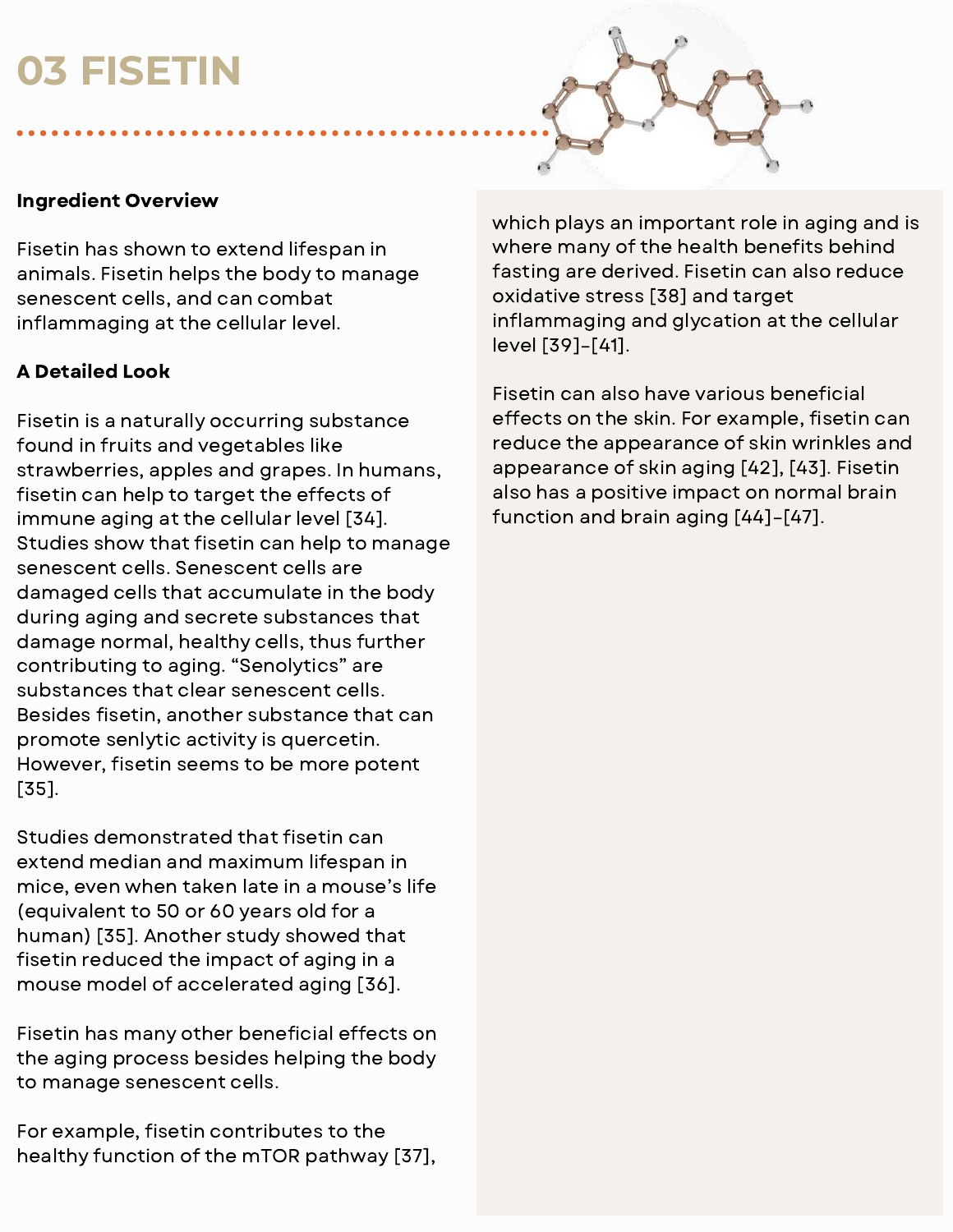## **03 FISETIN**



#### Ingredient Overview

Fisetin has shown to extend lifespan in animals. Fisetin helps the body to manage senescent cells, and can combat inflammaging at the cellular level.

### A Detailed Look

Fisetin is a naturally occurring substance found in fruits and vegetables like strawberries, apples and grapes. In humans, fisetin can help to target the effects of immune aging at the cellular level [34]. Studies show that fisetin can help to manage senescent cells. Senescent cells are damaged cells that accumulate in the body during aging and secrete substances that damage normal, healthy cells, thus further contributing to aging. "Senolytics" are substances that clear senescent cells. Besides fisetin, another substance that can promote senlytic activity is quercetin. However, fisetin seems to be more potent [35].

Studies demonstrated that fisetin can extend median and maximum lifespan in mice, even when taken late in a mouse's life (equivalent to 50 or 60 years old for a human) [35]. Another study showed that fisetin reduced the impact of aging in a mouse model of accelerated aging [36].

Fisetin has many other beneficial effects on the aging process besides helping the body to manage senescent cells.

For example, fisetin contributes to the healthy function of the mTOR pathway [37], which plays an important role in aging and is where many of the health benefits behind fasting are derived. Fisetin can also reduce oxidative stress [38] and target inflammaging and glycation at the cellular level [39]–[41].

Fisetin can also have various beneficial effects on the skin. For example, fisetin can reduce the appearance of skin wrinkles and appearance of skin aging [42], [43]. Fisetin also has a positive impact on normal brain function and brain aging [44]–[47].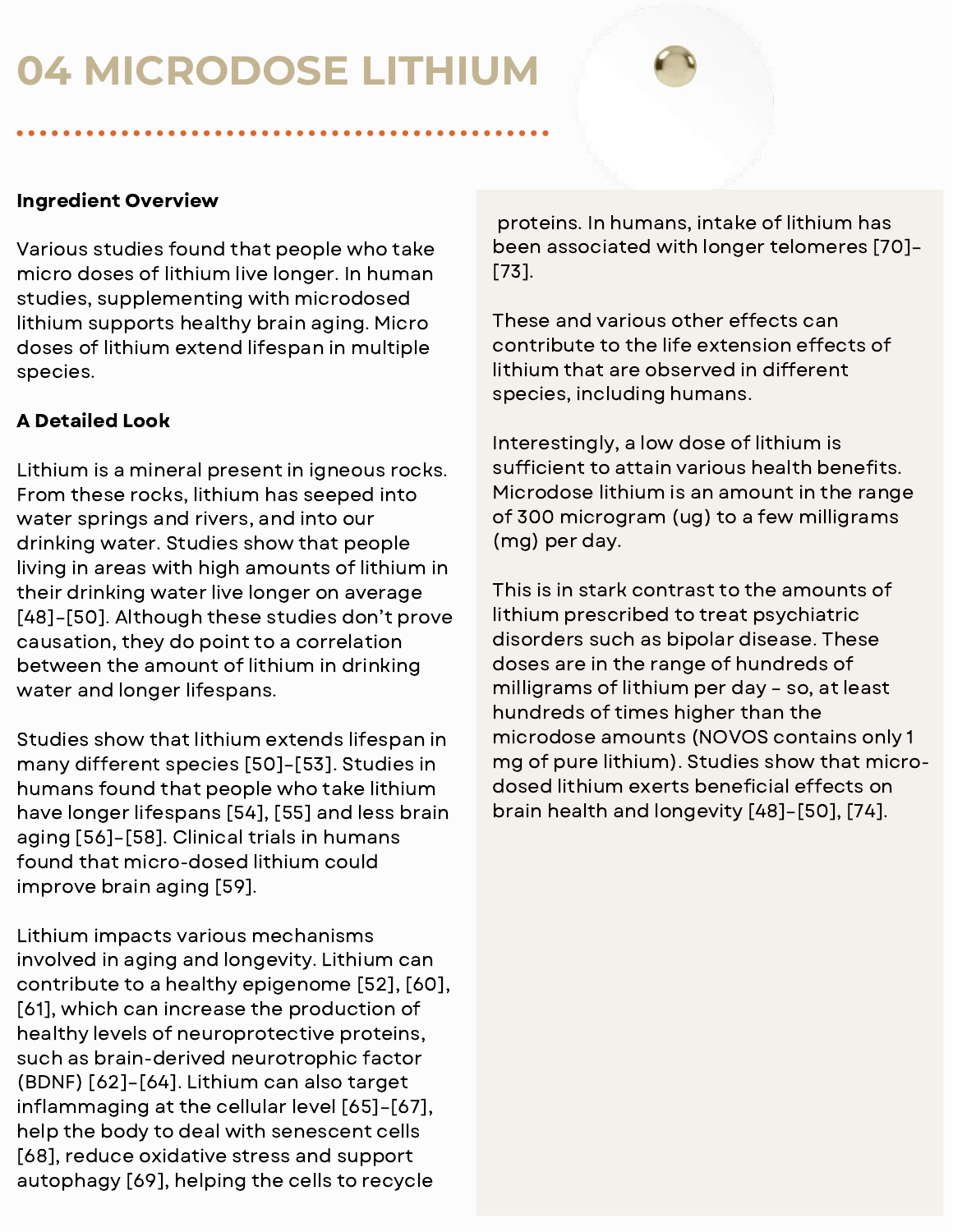## **04 MICRODOSE LITHIUM**

#### Ingredient Overview

Various studies found that people who take micro doses of lithium live longer. In human studies, supplementing with microdosed lithium supports healthy brain aging. Micro doses of lithium extend lifespan in multiple species.

#### A Detailed Look

Lithium is a mineral present in igneous rocks. From these rocks, lithium has seeped into water springs and rivers, and into our drinking water. Studies show that people living in areas with high amounts of lithium in their drinking water live longer on average [48]–[50]. Although these studies don't prove causation, they do point to a correlation between the amount of lithium in drinking water and longer lifespans.

Studies show that lithium extends lifespan in many different species [50]–[53]. Studies in humans found that people who take lithium have longer lifespans [54], [55] and less brain aging [56]–[58]. Clinical trials in humans found that micro-dosed lithium could improve brain aging [59].

Lithium impacts various mechanisms involved in aging and longevity. Lithium can contribute to a healthy epigenome [52], [60], [61], which can increase the production of healthy levels of neuroprotective proteins, such as brain-derived neurotrophic factor (BDNF) [62]–[64]. Lithium can also target inflammaging at the cellular level  $[65]$ - $[67]$ , help the body to deal with senescent cells [68], reduce oxidative stress and support autophagy [69], helping the cells to recycle

proteins. In humans, intake of lithium has been associated with longer telomeres [70]– [73].

These and various other effects can contribute to the life extension effects of lithium that are observed in different species, including humans.

Interestingly, a low dose of lithium is sufficient to attain various health benefits. Microdose lithium is an amount in the range of 300 microgram (ug) to a few milligrams (mg) per day.

This is in stark contrast to the amounts of lithium prescribed to treat psychiatric disorders such as bipolar disease. These doses are in the range of hundreds of milligrams of lithium per day – so, at least hundreds of times higher than the microdose amounts (NOVOS contains only 1 mg of pure lithium). Studies show that microdosed lithium exerts beneficial effects on brain health and longevity [48]–[50], [74].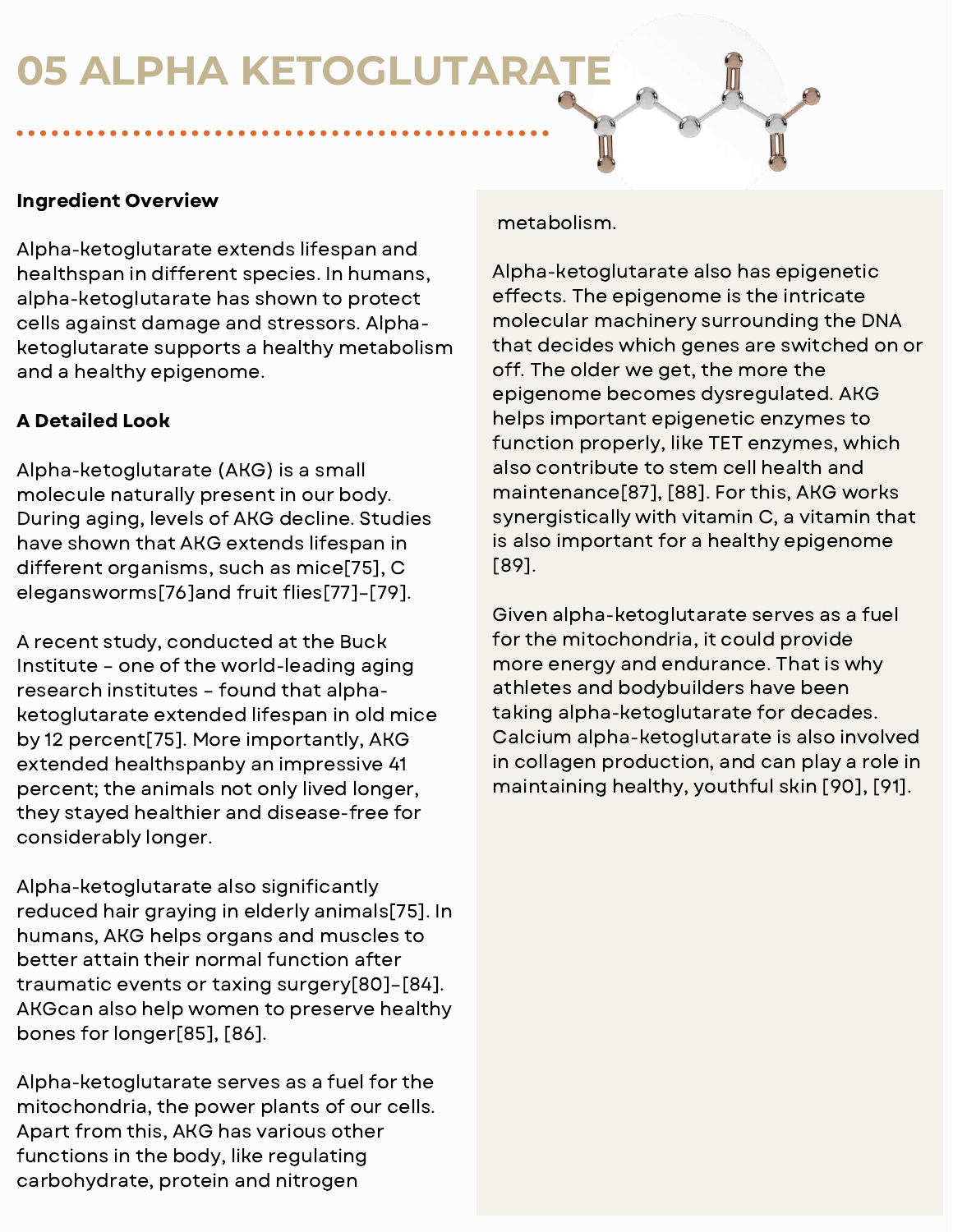## **05 ALPHA KETOGLUTARATE**

#### Ingredient Overview

Alpha-ketoglutarate extends lifespan and healthspan in different species. In humans, alpha-ketoglutarate has shown to protect cells against damage and stressors. Alphaketoglutarate supports a healthy metabolism and a healthy epigenome.

#### A Detailed Look

Alpha-ketoglutarate (AKG) is a small molecule naturally present in our body. During aging, levels of AKG decline. Studies have shown that AKG extends lifespan in different organisms, such as mice[75], C elegansworms[76]and fruit flies[77]-[79].

A recent study, conducted at the Buck Institute – one of the world-leading aging research institutes – found that alphaketoglutarate extended lifespan in old mice by 12 percent[75]. More importantly, AKG extended healthspanby an impressive 41 percent; the animals not only lived longer, they stayed healthier and disease-free for considerably longer.

Alpha-ketoglutarate also significantly reduced hair graying in elderly animals[75]. In humans, AKG helps organs and muscles to better attain their normal function after traumatic events or taxing surgery[80]–[84]. AKGcan also help women to preserve healthy bones for longer[85], [86].

Alpha-ketoglutarate serves as a fuel for the mitochondria, the power plants of our cells. Apart from this, AKG has various other functions in the body, like regulating carbohydrate, protein and nitrogen

metabolism.

Alpha-ketoglutarate also has epigenetic effects. The epigenome is the intricate molecular machinery surrounding the DNA that decides which genes are switched on or off. The older we get, the more the epigenome becomes dysregulated. AKG helps important epigenetic enzymes to function properly, like TET enzymes, which also contribute to stem cell health and maintenance[87], [88]. For this, AKG works synergistically with vitamin C, a vitamin that is also important for a healthy epigenome [89].

Given alpha-ketoglutarate serves as a fuel for the mitochondria, it could provide more energy and endurance. That is why athletes and bodybuilders have been taking alpha-ketoglutarate for decades. Calcium alpha-ketoglutarate is also involved in collagen production, and can play a role in maintaining healthy, youthful skin [90], [91].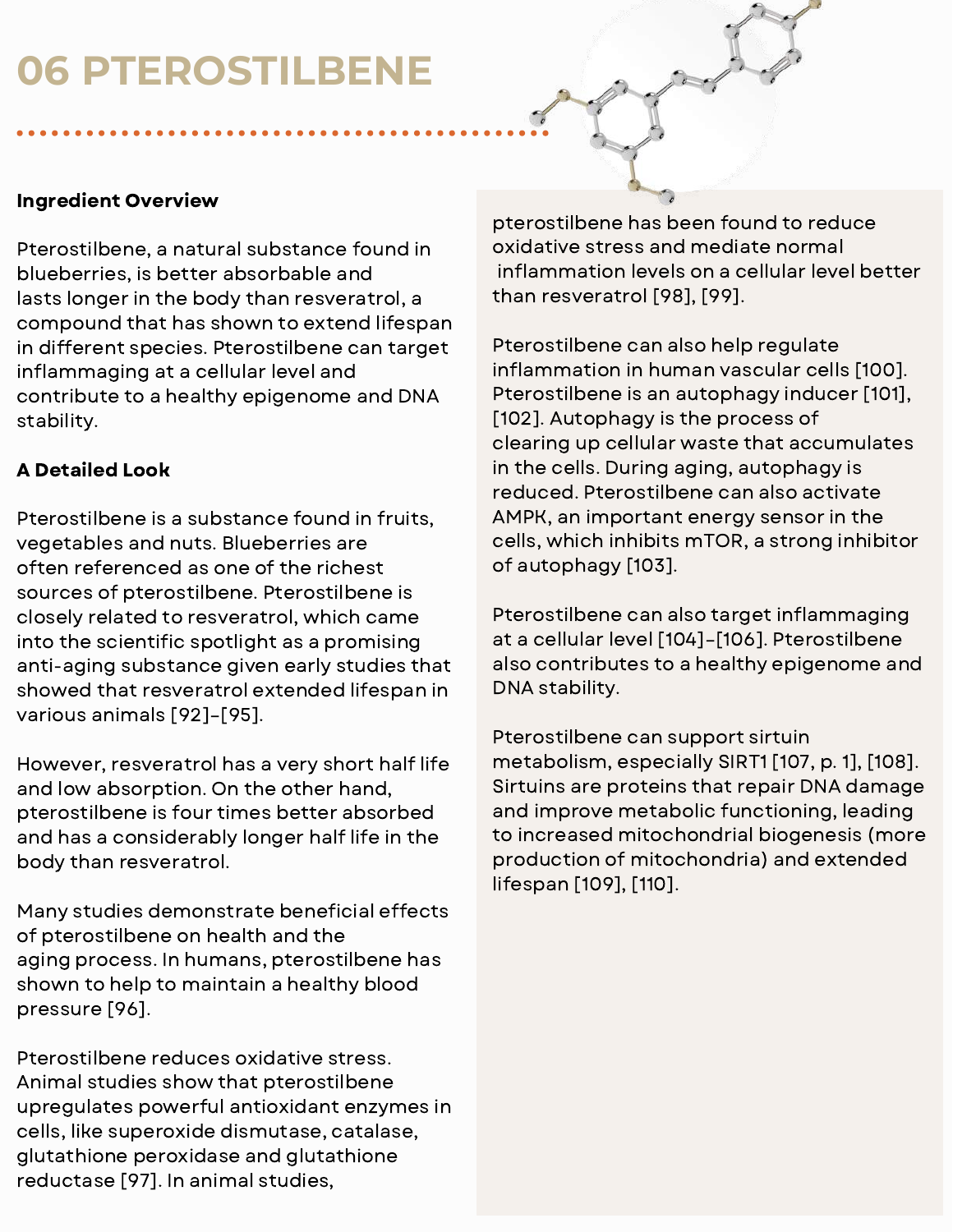## **06 PTEROSTILBENE**

#### Ingredient Overview

Pterostilbene, a natural substance found in blueberries, is better absorbable and lasts longer in the body than resveratrol, a compound that has shown to extend lifespan in different species. Pterostilbene can target inflammaging at a cellular level and contribute to a healthy epigenome and DNA stability.

#### A Detailed Look

Pterostilbene is a substance found in fruits, vegetables and nuts. Blueberries are often referenced as one of the richest sources of pterostilbene. Pterostilbene is closely related to resveratrol, which came into the scientific spotlight as a promising anti-aging substance given early studies that showed that resveratrol extended lifespan in various animals [92]–[95].

However, resveratrol has a very short half life and low absorption. On the other hand, pterostilbene is four times better absorbed and has a considerably longer half life in the body than resveratrol.

Many studies demonstrate beneficial effects of pterostilbene on health and the aging process. In humans, pterostilbene has shown to help to maintain a healthy blood pressure [96].

Pterostilbene reduces oxidative stress. Animal studies show that pterostilbene upregulates powerful antioxidant enzymes in cells, like superoxide dismutase, catalase, glutathione peroxidase and glutathione reductase [97]. In animal studies,

pterostilbene has been found to reduce oxidative stress and mediate normal inflammation levels on a cellular level better than resveratrol [98], [99].

Pterostilbene can also help regulate inflammation in human vascular cells [100]. Pterostilbene is an autophagy inducer [101], [102]. Autophagy is the process of clearing up cellular waste that accumulates in the cells. During aging, autophagy is reduced. Pterostilbene can also activate AMPK, an important energy sensor in the cells, which inhibits mTOR, a strong inhibitor of autophagy [103].

Pterostilbene can also target inflammaging at a cellular level [104]–[106]. Pterostilbene also contributes to a healthy epigenome and DNA stability.

Pterostilbene can support sirtuin metabolism, especially SIRT1 [107, p. 1], [108]. Sirtuins are proteins that repair DNA damage and improve metabolic functioning, leading to increased mitochondrial biogenesis (more production of mitochondria) and extended lifespan [109], [110].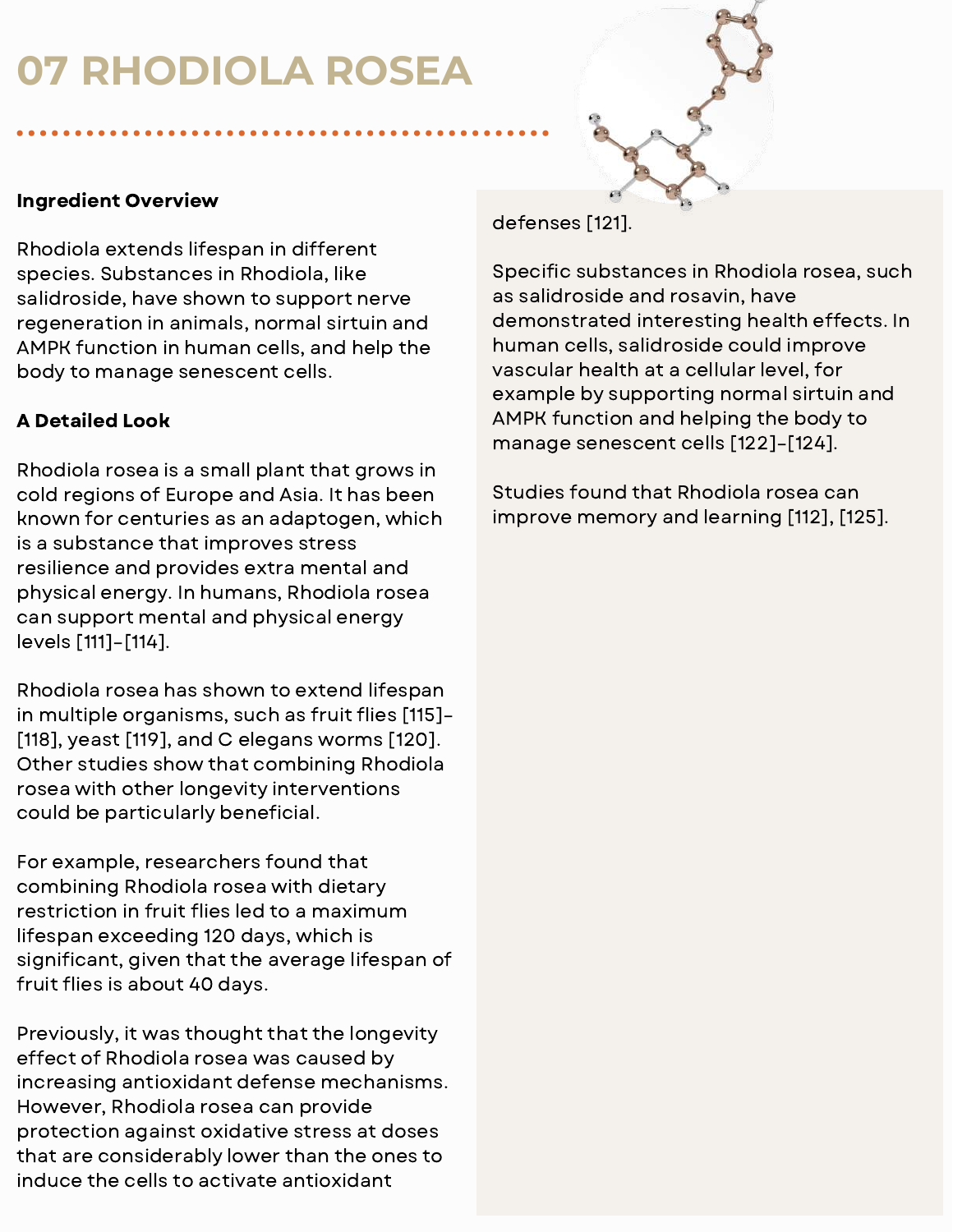## **07 RHODIOLA ROSEA**



#### Ingredient Overview

Rhodiola extends lifespan in different species. Substances in Rhodiola, like salidroside, have shown to support nerve regeneration in animals, normal sirtuin and AMPK function in human cells, and help the body to manage senescent cells.

### A Detailed Look

Rhodiola rosea is a small plant that grows in cold regions of Europe and Asia. It has been known for centuries as an adaptogen, which is a substance that improves stress resilience and provides extra mental and physical energy. In humans, Rhodiola rosea can support mental and physical energy levels [111]–[114].

Rhodiola rosea has shown to extend lifespan in multiple organisms, such as fruit flies [115]-[118], yeast [119], and C elegans worms [120]. Other studies show that combining Rhodiola rosea with other longevity interventions could be particularly beneficial.

For example, researchers found that combining Rhodiola rosea with dietary restriction in fruit flies led to a maximum lifespan exceeding 120 days, which is significant, given that the average lifespan of fruit flies is about 40 days.

Previously, it was thought that the longevity effect of Rhodiola rosea was caused by increasing antioxidant defense mechanisms. However, Rhodiola rosea can provide protection against oxidative stress at doses that are considerably lower than the ones to induce the cells to activate antioxidant

defenses [121].

Specific substances in Rhodiola rosea, such as salidroside and rosavin, have demonstrated interesting health effects. In human cells, salidroside could improve vascular health at a cellular level, for example by supporting normal sirtuin and AMPK function and helping the body to manage senescent cells [122]–[124].

Studies found that Rhodiola rosea can improve memory and learning [112], [125].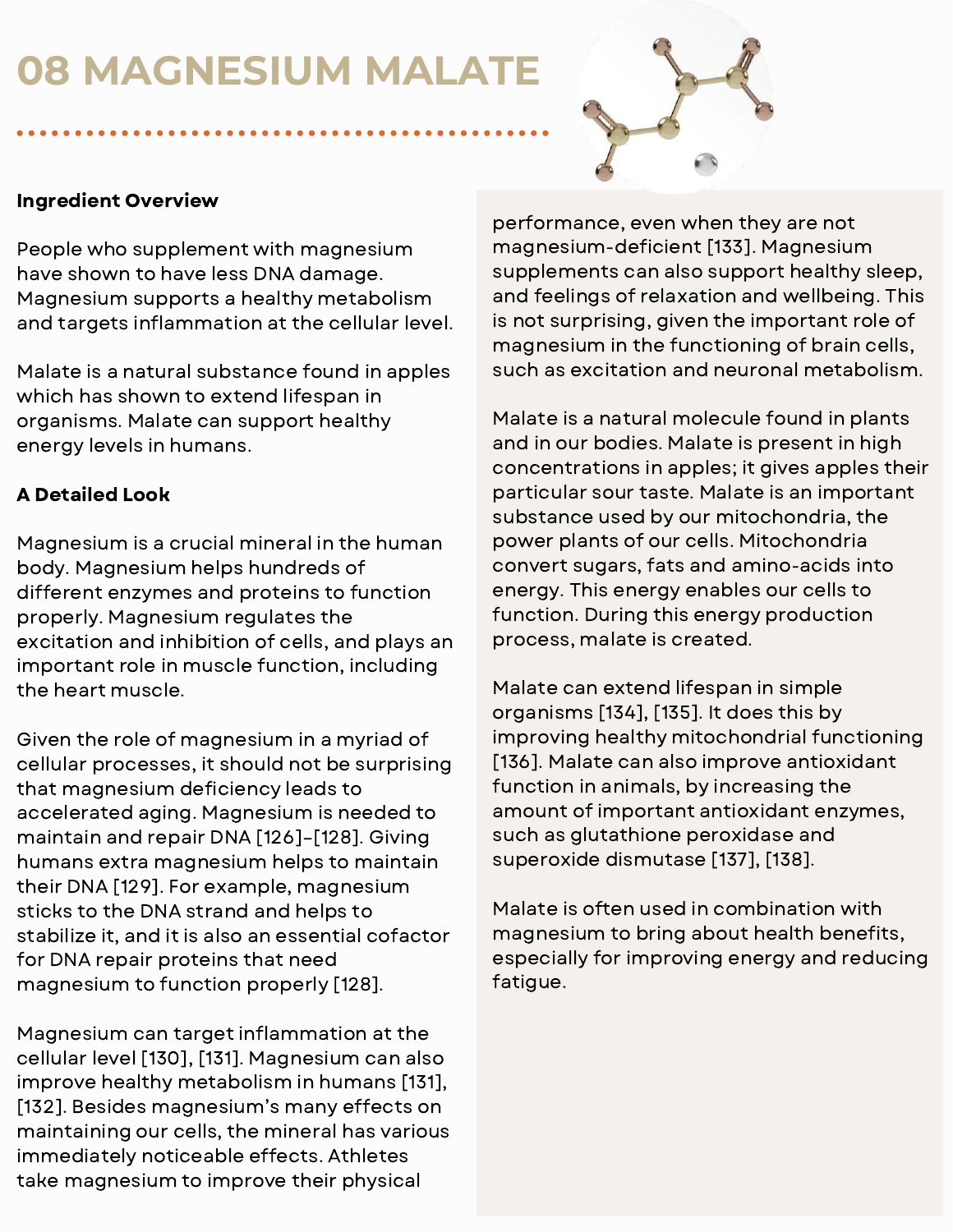## **08 MAGNESIUM MALATE**



#### Ingredient Overview

People who supplement with magnesium have shown to have less DNA damage. Magnesium supports a healthy metabolism and targets inflammation at the cellular level.

Malate is a natural substance found in apples which has shown to extend lifespan in organisms. Malate can support healthy energy levels in humans.

## A Detailed Look

Magnesium is a crucial mineral in the human body. Magnesium helps hundreds of different enzymes and proteins to function properly. Magnesium regulates the excitation and inhibition of cells, and plays an important role in muscle function, including the heart muscle.

Given the role of magnesium in a myriad of cellular processes, it should not be surprising that magnesium deficiency leads to accelerated aging. Magnesium is needed to maintain and repair DNA [126]–[128]. Giving humans extra magnesium helps to maintain their DNA [129]. For example, magnesium sticks to the DNA strand and helps to stabilize it, and it is also an essential cofactor for DNA repair proteins that need magnesium to function properly [128].

Magnesium can target inflammation at the cellular level [130], [131]. Magnesium can also improve healthy metabolism in humans [131], [132]. Besides magnesium's many effects on maintaining our cells, the mineral has various immediately noticeable effects. Athletes take magnesium to improve their physical

performance, even when they are not magnesium-deficient [133]. Magnesium supplements can also support healthy sleep, and feelings of relaxation and wellbeing. This is not surprising, given the important role of magnesium in the functioning of brain cells, such as excitation and neuronal metabolism.

Malate is a natural molecule found in plants and in our bodies. Malate is present in high concentrations in apples; it gives apples their particular sour taste. Malate is an important substance used by our mitochondria, the power plants of our cells. Mitochondria convert sugars, fats and amino-acids into energy. This energy enables our cells to function. During this energy production process, malate is created.

Malate can extend lifespan in simple organisms [134], [135]. It does this by improving healthy mitochondrial functioning [136]. Malate can also improve antioxidant function in animals, by increasing the amount of important antioxidant enzymes, such as glutathione peroxidase and superoxide dismutase [137], [138].

Malate is often used in combination with magnesium to bring about health benefits, especially for improving energy and reducing fatigue.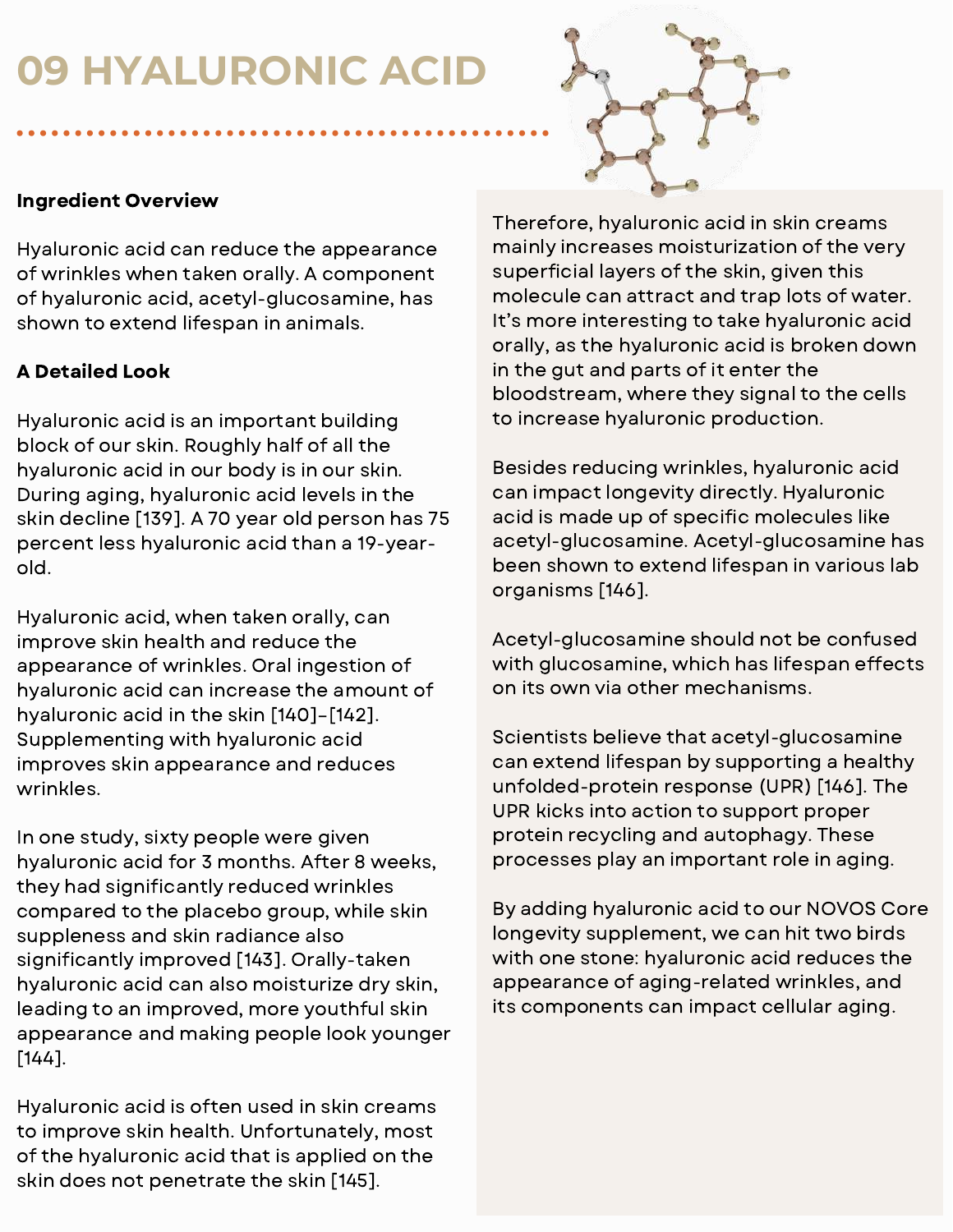## **09 HYALURONIC ACID**



### Ingredient Overview

Hyaluronic acid can reduce the appearance of wrinkles when taken orally. A component of hyaluronic acid, acetyl-glucosamine, has shown to extend lifespan in animals.

## A Detailed Look

Hyaluronic acid is an important building block of our skin. Roughly half of all the hyaluronic acid in our body is in our skin. During aging, hyaluronic acid levels in the skin decline [139]. A 70 year old person has 75 percent less hyaluronic acid than a 19-yearold.

Hyaluronic acid, when taken orally, can improve skin health and reduce the appearance of wrinkles. Oral ingestion of hyaluronic acid can increase the amount of hyaluronic acid in the skin [140]–[142]. Supplementing with hyaluronic acid improves skin appearance and reduces wrinkles.

In one study, sixty people were given hyaluronic acid for 3 months. After 8 weeks, they had significantly reduced wrinkles compared to the placebo group, while skin suppleness and skin radiance also significantly improved [143]. Orally-taken hyaluronic acid can also moisturize dry skin, leading to an improved, more youthful skin appearance and making people look younger [144].

Hyaluronic acid is often used in skin creams to improve skin health. Unfortunately, most of the hyaluronic acid that is applied on the skin does not penetrate the skin [145].

Therefore, hyaluronic acid in skin creams mainly increases moisturization of the very superficial layers of the skin, given this molecule can attract and trap lots of water. It's more interesting to take hyaluronic acid orally, as the hyaluronic acid is broken down in the gut and parts of it enter the bloodstream, where they signal to the cells to increase hyaluronic production.

Besides reducing wrinkles, hyaluronic acid can impact longevity directly. Hyaluronic acid is made up of specific molecules like acetyl-glucosamine. Acetyl-glucosamine has been shown to extend lifespan in various lab organisms [146].

Acetyl-glucosamine should not be confused with glucosamine, which has lifespan effects on its own via other mechanisms.

Scientists believe that acetyl-glucosamine can extend lifespan by supporting a healthy unfolded-protein response (UPR) [146]. The UPR kicks into action to support proper protein recycling and autophagy. These processes play an important role in aging.

By adding hyaluronic acid to our NOVOS Core longevity supplement, we can hit two birds with one stone: hyaluronic acid reduces the appearance of aging-related wrinkles, and its components can impact cellular aging.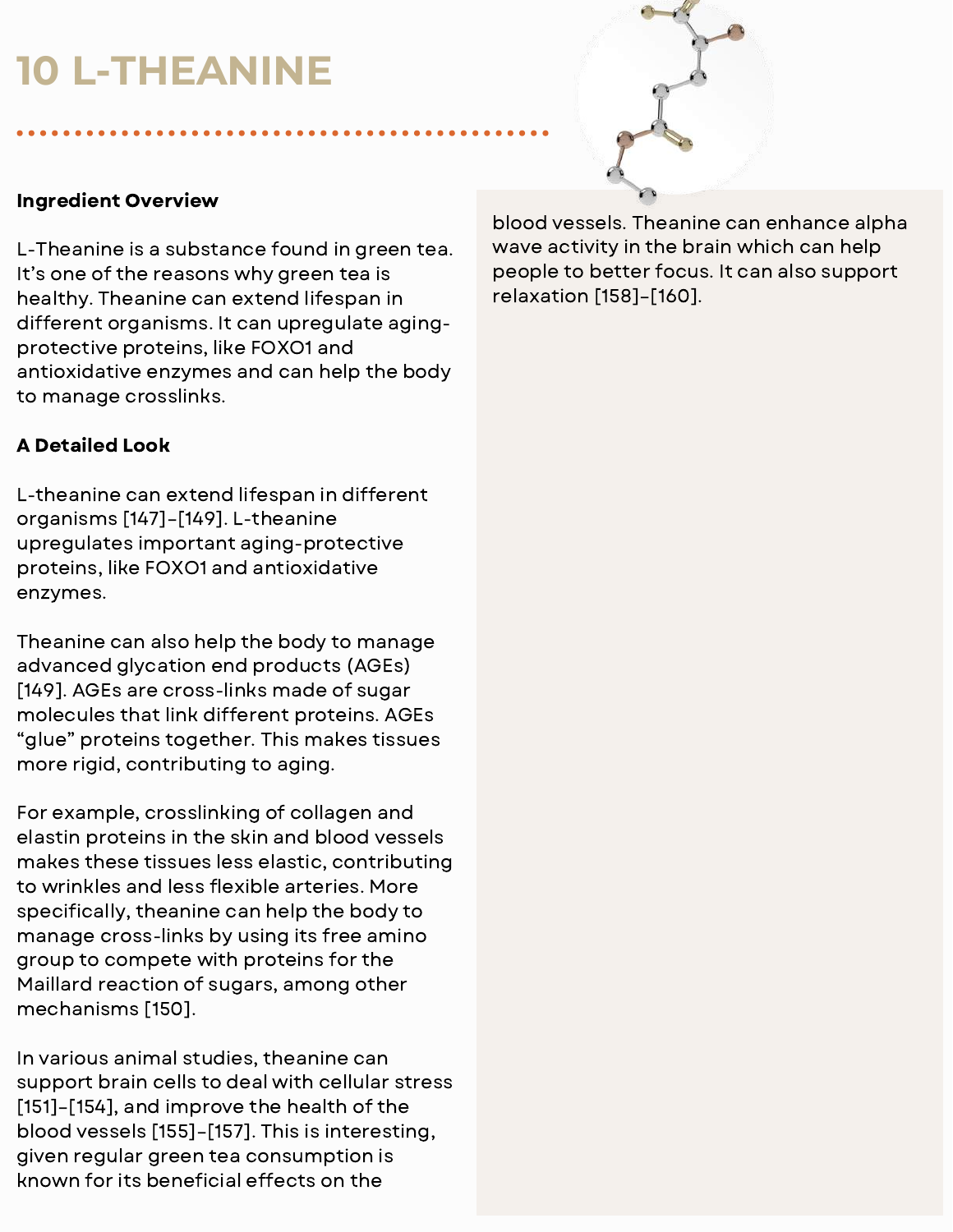## **10 L-THEANINE**



#### Ingredient Overview

L-Theanine is a substance found in green tea. It's one of the reasons why green tea is healthy. Theanine can extend lifespan in different organisms. It can upregulate agingprotective proteins, like FOXO1 and antioxidative enzymes and can help the body to manage crosslinks.

#### A Detailed Look

L-theanine can extend lifespan in different organisms [147]–[149]. L-theanine upregulates important aging-protective proteins, like FOXO1 and antioxidative enzymes.

Theanine can also help the body to manage advanced glycation end products (AGEs) [149]. AGEs are cross-links made of sugar molecules that link different proteins. AGEs "glue" proteins together. This makes tissues more rigid, contributing to aging.

For example, crosslinking of collagen and elastin proteins in the skin and blood vessels makes these tissues less elastic, contributing to wrinkles and less flexible arteries. More specifically, theanine can help the body to manage cross-links by using its free amino group to compete with proteins for the Maillard reaction of sugars, among other mechanisms [150].

In various animal studies, theanine can support brain cells to deal with cellular stress [151]–[154], and improve the health of the blood vessels [155]–[157]. This is interesting, given regular green tea consumption is known for its beneficial effects on the

blood vessels. Theanine can enhance alpha wave activity in the brain which can help people to better focus. It can also support relaxation [158]–[160].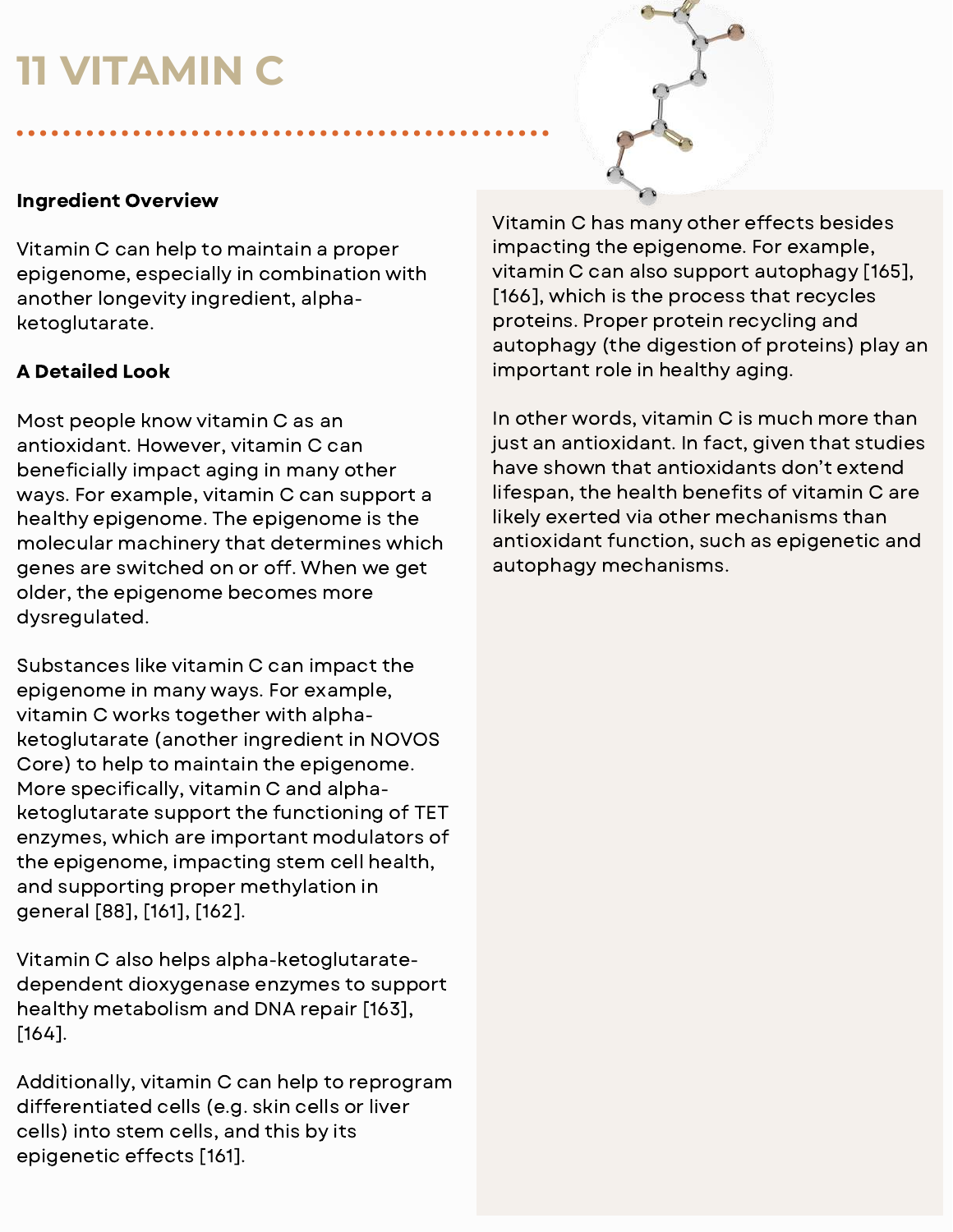## **11 VITAMIN C**



### Ingredient Overview

Vitamin C can help to maintain a proper epigenome, especially in combination with another longevity ingredient, alphaketoglutarate.

### A Detailed Look

Most people know vitamin C as an antioxidant. However, vitamin C can beneficially impact aging in many other ways. For example, vitamin C can support a healthy epigenome. The epigenome is the molecular machinery that determines which genes are switched on or off. When we get older, the epigenome becomes more dysregulated.

Substances like vitamin C can impact the epigenome in many ways. For example, vitamin C works together with alphaketoglutarate (another ingredient in NOVOS Core) to help to maintain the epigenome. More specifically, vitamin C and alphaketoglutarate support the functioning of TET enzymes, which are important modulators of the epigenome, impacting stem cell health, and supporting proper methylation in general [88], [161], [162].

Vitamin C also helps alpha-ketoglutaratedependent dioxygenase enzymes to support healthy metabolism and DNA repair [163], [164].

Additionally, vitamin C can help to reprogram differentiated cells (e.g. skin cells or liver cells) into stem cells, and this by its epigenetic effects [161].

Vitamin C has many other effects besides impacting the epigenome. For example, vitamin C can also support autophagy [165], [166], which is the process that recycles proteins. Proper protein recycling and autophagy (the digestion of proteins) play an important role in healthy aging.

In other words, vitamin C is much more than just an antioxidant. In fact, given that studies have shown that antioxidants don't extend lifespan, the health benefits of vitamin C are likely exerted via other mechanisms than antioxidant function, such as epigenetic and autophagy mechanisms.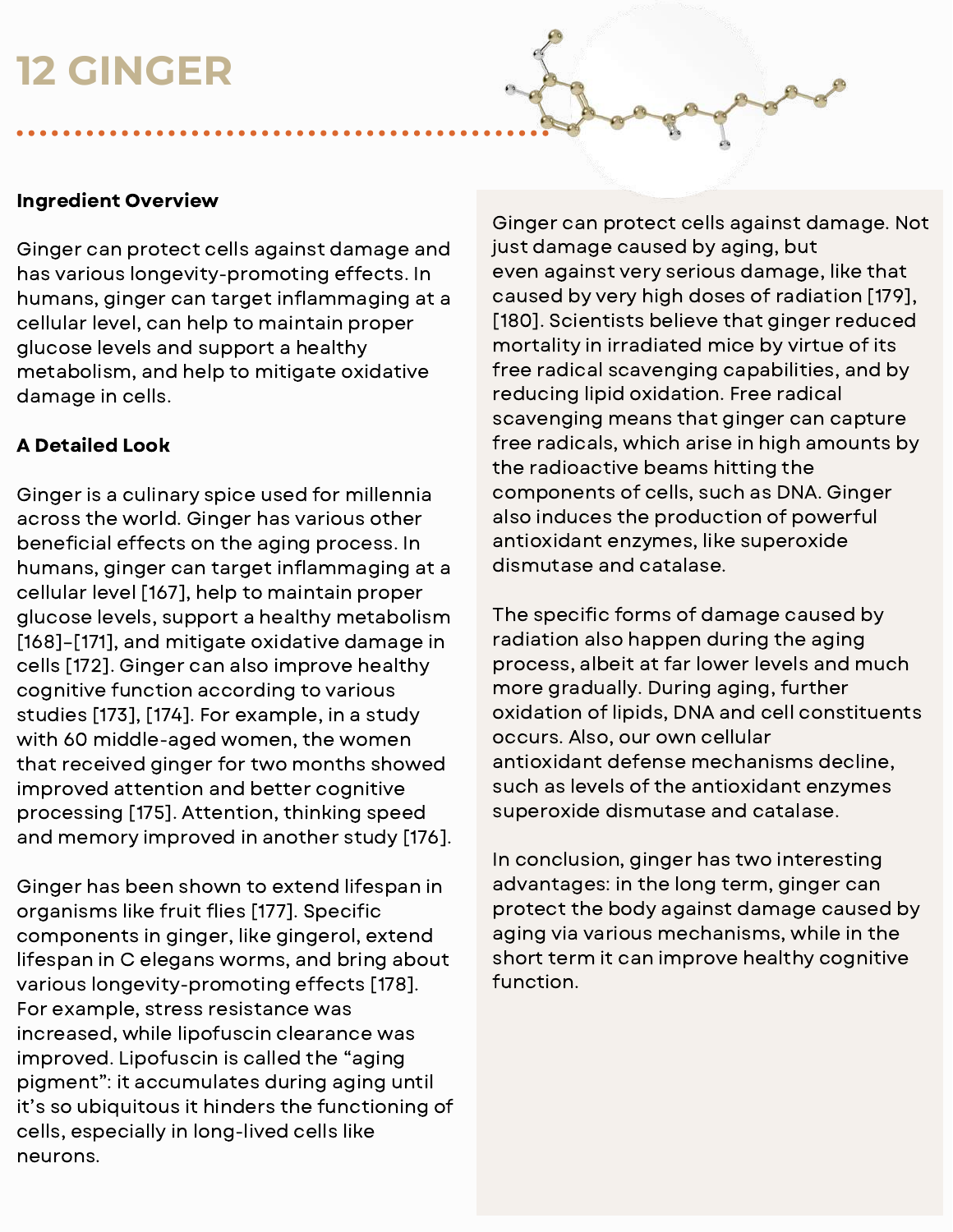## **12 GINGER**

#### Ingredient Overview

Ginger can protect cells against damage and has various longevity-promoting effects. In humans, ginger can target inflammaging at a cellular level, can help to maintain proper glucose levels and support a healthy metabolism, and help to mitigate oxidative damage in cells.

#### A Detailed Look

Ginger is a culinary spice used for millennia across the world. Ginger has various other beneficial effects on the aging process. In humans, ginger can target inflammaging at a cellular level [167], help to maintain proper glucose levels, support a healthy metabolism [168]–[171], and mitigate oxidative damage in cells [172]. Ginger can also improve healthy cognitive function according to various studies [173], [174]. For example, in a study with 60 middle-aged women, the women that received ginger for two months showed improved attention and better cognitive processing [175]. Attention, thinking speed and memory improved in another study [176].

Ginger has been shown to extend lifespan in organisms like fruit flies [177]. Specific components in ginger, like gingerol, extend lifespan in C elegans worms, and bring about various longevity-promoting effects [178]. For example, stress resistance was increased, while lipofuscin clearance was improved. Lipofuscin is called the "aging pigment": it accumulates during aging until it's so ubiquitous it hinders the functioning of cells, especially in long-lived cells like neurons.

Ginger can protect cells against damage. Not just damage caused by aging, but even against very serious damage, like that caused by very high doses of radiation [179], [180]. Scientists believe that ginger reduced mortality in irradiated mice by virtue of its free radical scavenging capabilities, and by reducing lipid oxidation. Free radical scavenging means that ginger can capture free radicals, which arise in high amounts by the radioactive beams hitting the components of cells, such as DNA. Ginger also induces the production of powerful antioxidant enzymes, like superoxide dismutase and catalase.

The specific forms of damage caused by radiation also happen during the aging process, albeit at far lower levels and much more gradually. During aging, further oxidation of lipids, DNA and cell constituents occurs. Also, our own cellular antioxidant defense mechanisms decline, such as levels of the antioxidant enzymes superoxide dismutase and catalase.

In conclusion, ginger has two interesting advantages: in the long term, ginger can protect the body against damage caused by aging via various mechanisms, while in the short term it can improve healthy cognitive function.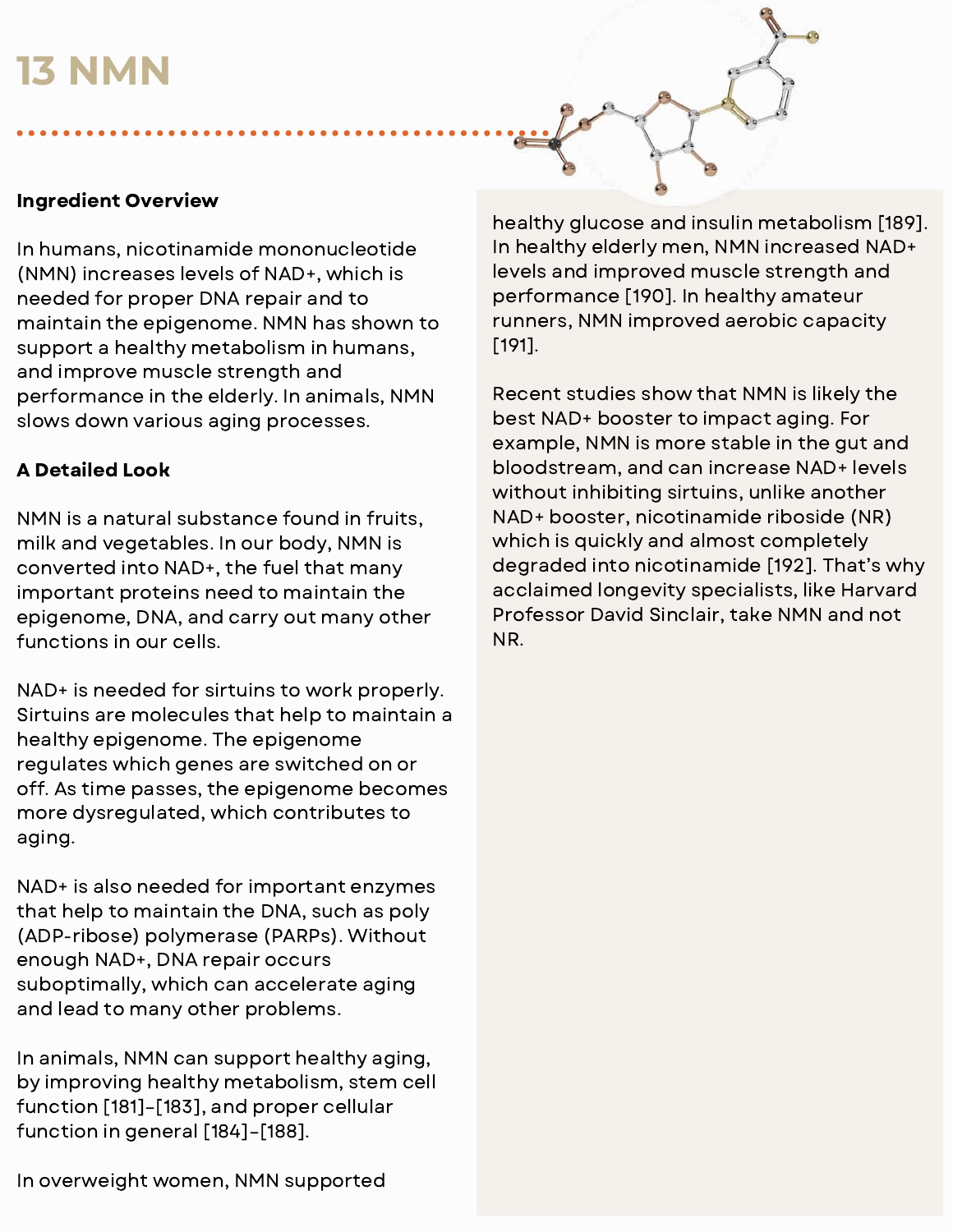## **13 NMN**



In humans, nicotinamide mononucleotide (NMN) increases levels of NAD+, which is needed for proper DNA repair and to maintain the epigenome. NMN has shown to support a healthy metabolism in humans, and improve muscle strength and performance in the elderly. In animals, NMN slows down various aging processes.

#### A Detailed Look

NMN is a natural substance found in fruits, milk and vegetables. In our body, NMN is converted into NAD+, the fuel that many important proteins need to maintain the epigenome, DNA, and carry out many other functions in our cells.

NAD+ is needed for sirtuins to work properly. Sirtuins are molecules that help to maintain a healthy epigenome. The epigenome regulates which genes are switched on or off. As time passes, the epigenome becomes more dysregulated, which contributes to aging.

NAD+ is also needed for important enzymes that help to maintain the DNA, such as poly (ADP-ribose) polymerase (PARPs). Without enough NAD+, DNA repair occurs suboptimally, which can accelerate aging and lead to many other problems.

In animals, NMN can support healthy aging, by improving healthy metabolism, stem cell function [181]–[183], and proper cellular function in general [184]–[188].

healthy glucose and insulin metabolism [189]. In healthy elderly men, NMN increased NAD+ levels and improved muscle strength and performance [190]. In healthy amateur runners, NMN improved aerobic capacity [191].

Recent studies show that NMN is likely the best NAD+ booster to impact aging. For example, NMN is more stable in the gut and bloodstream, and can increase NAD+ levels without inhibiting sirtuins, unlike another NAD+ booster, nicotinamide riboside (NR) which is quickly and almost completely degraded into nicotinamide [192]. That's why acclaimed longevity specialists, like Harvard Professor David Sinclair, take NMN and not NR.

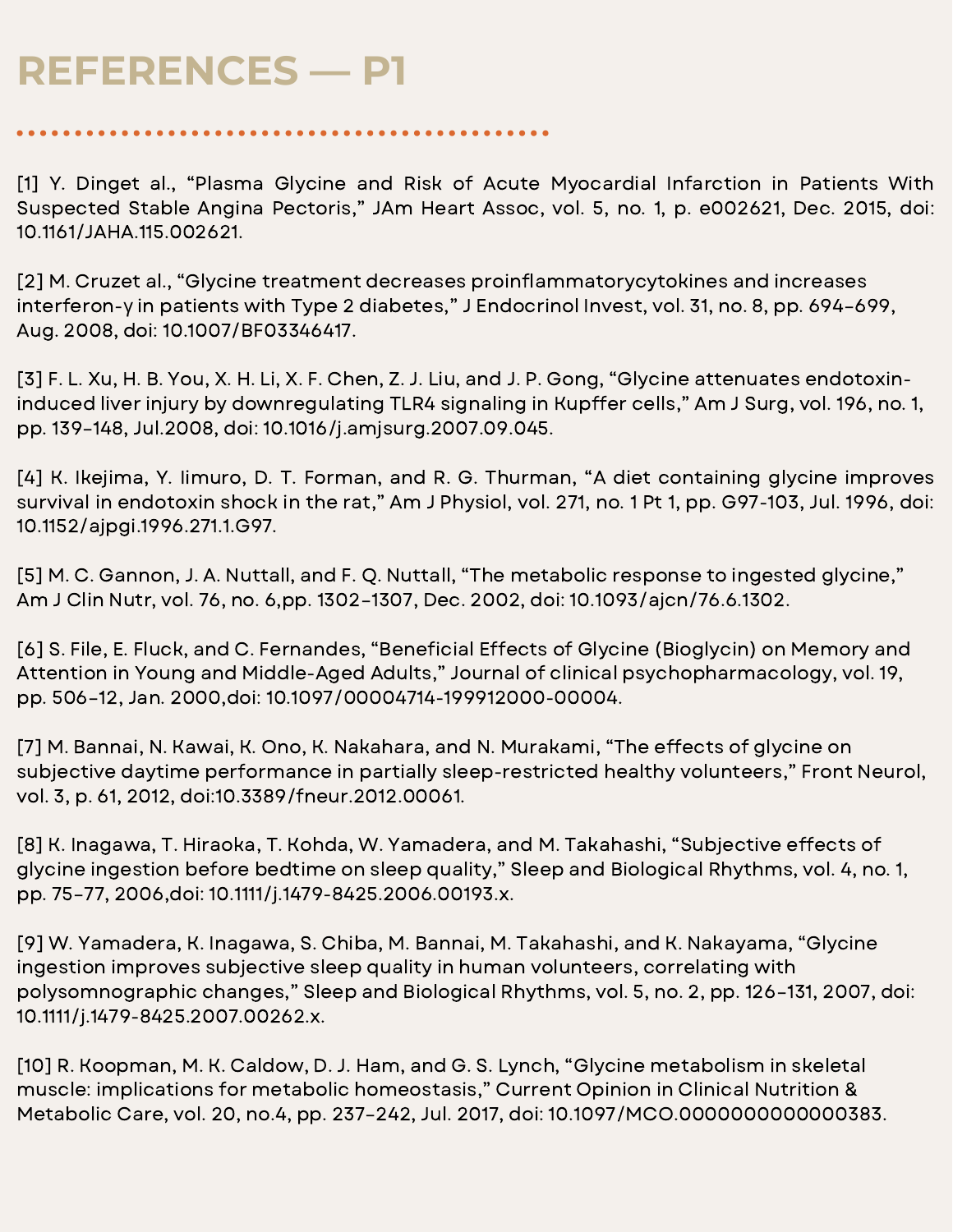[1] Y. Dinget al., "Plasma Glycine and Risk of Acute Myocardial Infarction in Patients With Suspected Stable Angina Pectoris," JAm Heart Assoc, vol. 5, no. 1, p. e002621, Dec. 2015, doi: 10.1161/JAHA.115.002621.

[2] M. Cruzet al., "Glycine treatment decreases proinflammatorycytokines and increases interferon-γ in patients with Type 2 diabetes," J Endocrinol Invest, vol. 31, no. 8, pp. 694–699, Aug. 2008, doi: 10.1007/BF03346417.

[3] F. L. Xu, H. B. You, X. H. Li, X. F. Chen, Z. J. Liu, and J. P. Gong, "Glycine attenuates endotoxininduced liver injury by downregulating TLR4 signaling in Kupffer cells," Am J Surg, vol. 196, no. 1, pp. 139–148, Jul.2008, doi: 10.1016/j.amjsurg.2007.09.045.

[4] K. Ikejima, Y. Iimuro, D. T. Forman, and R. G. Thurman, "A diet containing glycine improves survival in endotoxin shock in the rat," Am J Physiol, vol. 271, no. 1 Pt 1, pp. G97-103, Jul. 1996, doi: 10.1152/ajpgi.1996.271.1.G97.

[5] M. C. Gannon, J. A. Nuttall, and F. Q. Nuttall, "The metabolic response to ingested glycine," Am J Clin Nutr, vol. 76, no. 6,pp. 1302–1307, Dec. 2002, doi: 10.1093/ajcn/76.6.1302.

[6] S. File, E. Fluck, and C. Fernandes, "Beneficial Effects of Glycine (Bioglycin) on Memory and Attention in Young and Middle-Aged Adults," Journal of clinical psychopharmacology, vol. 19, pp. 506–12, Jan. 2000,doi: 10.1097/00004714-199912000-00004.

[7] M. Bannai, N. Kawai, K. Ono, K. Nakahara, and N. Murakami, "The effects of glycine on subjective daytime performance in partially sleep-restricted healthy volunteers," Front Neurol, vol. 3, p. 61, 2012, doi:10.3389/fneur.2012.00061.

[8] K. Inagawa, T. Hiraoka, T. Kohda, W. Yamadera, and M. Takahashi, "Subjective effects of glycine ingestion before bedtime on sleep quality," Sleep and Biological Rhythms, vol. 4, no. 1, pp. 75–77, 2006,doi: 10.1111/j.1479-8425.2006.00193.x.

[9] W. Yamadera, K. Inagawa, S. Chiba, M. Bannai, M. Takahashi, and K. Nakayama, "Glycine ingestion improves subjective sleep quality in human volunteers, correlating with polysomnographic changes," Sleep and Biological Rhythms, vol. 5, no. 2, pp. 126–131, 2007, doi: 10.1111/j.1479-8425.2007.00262.x.

[10] R. Koopman, M. K. Caldow, D. J. Ham, and G. S. Lynch, "Glycine metabolism in skeletal muscle: implications for metabolic homeostasis," Current Opinion in Clinical Nutrition & Metabolic Care, vol. 20, no.4, pp. 237–242, Jul. 2017, doi: 10.1097/MCO.0000000000000383.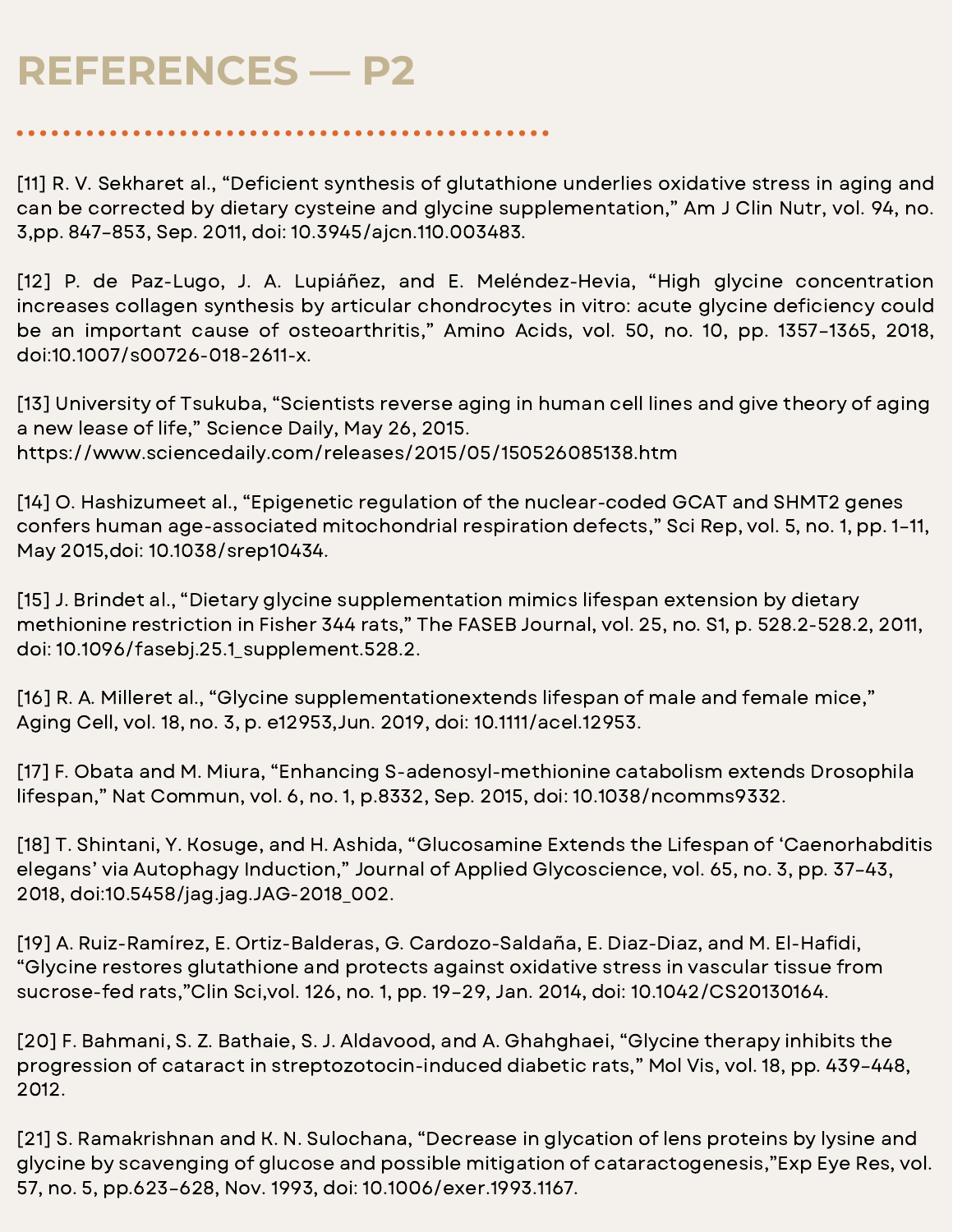[11] R. V. Sekharet al., "Deficient synthesis of glutathione underlies oxidative stress in aging and can be corrected by dietary cysteine and glycine supplementation," Am J Clin Nutr, vol. 94, no. 3,pp. 847–853, Sep. 2011, doi: 10.3945/ajcn.110.003483.

[12] P. de Paz-Lugo, J. A. Lupiáñez, and E. Meléndez-Hevia, "High glycine concentration increases collagen synthesis by articular chondrocytes in vitro: acute glycine deficiency could be an important cause of osteoarthritis," Amino Acids, vol. 50, no. 10, pp. 1357–1365, 2018, doi:10.1007/s00726-018-2611-x.

[13] University of Tsukuba, "Scientists reverse aging in human cell lines and give theory of aging a new lease of life," Science Daily, May 26, 2015. https://www.sciencedaily.com/releases/2015/05/150526085138.htm

[14] O. Hashizumeet al., "Epigenetic regulation of the nuclear-coded GCAT and SHMT2 genes confers human age-associated mitochondrial respiration defects," Sci Rep, vol. 5, no. 1, pp. 1–11, May 2015,doi: 10.1038/srep10434.

[15] J. Brindet al., "Dietary glycine supplementation mimics lifespan extension by dietary methionine restriction in Fisher 344 rats," The FASEB Journal, vol. 25, no. S1, p. 528.2-528.2, 2011, doi: 10.1096/fasebj.25.1\_supplement.528.2.

[16] R. A. Milleret al., "Glycine supplementationextends lifespan of male and female mice," Aging Cell, vol. 18, no. 3, p. e12953,Jun. 2019, doi: 10.1111/acel.12953.

[17] F. Obata and M. Miura, "Enhancing S-adenosyl-methionine catabolism extends Drosophila lifespan," Nat Commun, vol. 6, no. 1, p.8332, Sep. 2015, doi: 10.1038/ncomms9332.

[18] T. Shintani, Y. Kosuge, and H. Ashida, "Glucosamine Extends the Lifespan of 'Caenorhabditis elegans' via Autophagy Induction," Journal of Applied Glycoscience, vol. 65, no. 3, pp. 37–43, 2018, doi:10.5458/jag.jag.JAG-2018\_002.

[19] A. Ruiz-Ramírez, E. Ortiz-Balderas, G. Cardozo-Saldaña, E. Diaz-Diaz, and M. El-Hafidi, "Glycine restores glutathione and protects against oxidative stress in vascular tissue from sucrose-fed rats,"Clin Sci,vol. 126, no. 1, pp. 19–29, Jan. 2014, doi: 10.1042/CS20130164.

[20] F. Bahmani, S. Z. Bathaie, S. J. Aldavood, and A. Ghahghaei, "Glycine therapy inhibits the progression of cataract in streptozotocin-induced diabetic rats," Mol Vis, vol. 18, pp. 439–448, 2012.

[21] S. Ramakrishnan and K. N. Sulochana, "Decrease in glycation of lens proteins by lysine and glycine by scavenging of glucose and possible mitigation of cataractogenesis,"Exp Eye Res, vol. 57, no. 5, pp.623–628, Nov. 1993, doi: 10.1006/exer.1993.1167.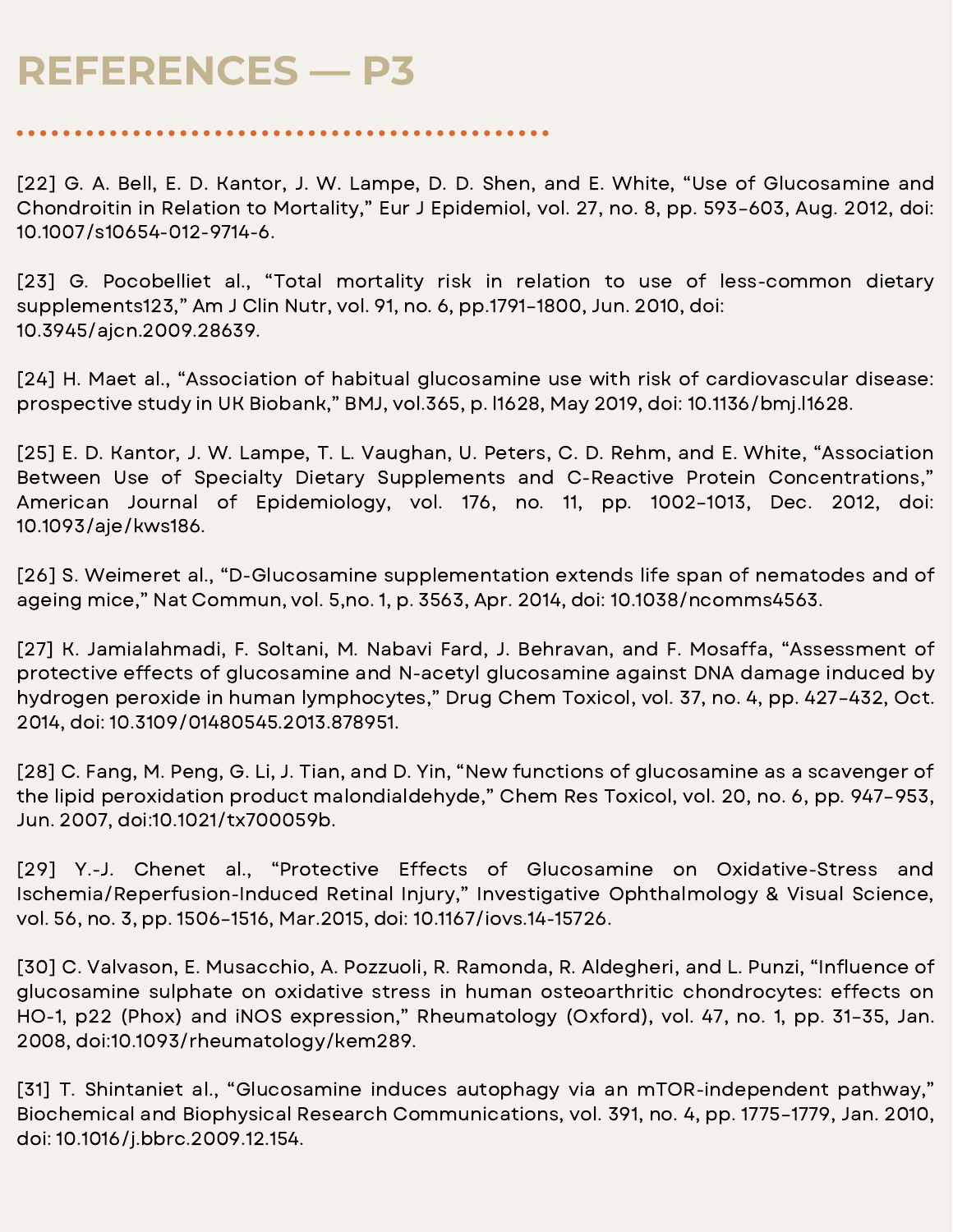[22] G. A. Bell, E. D. Kantor, J. W. Lampe, D. D. Shen, and E. White, "Use of Glucosamine and Chondroitin in Relation to Mortality," Eur J Epidemiol, vol. 27, no. 8, pp. 593–603, Aug. 2012, doi: 10.1007/s10654-012-9714-6.

[23] G. Pocobelliet al., "Total mortality risk in relation to use of less-common dietary supplements123," Am J Clin Nutr, vol. 91, no. 6, pp.1791–1800, Jun. 2010, doi: 10.3945/ajcn.2009.28639.

[24] H. Maet al., "Association of habitual glucosamine use with risk of cardiovascular disease: prospective study in UK Biobank," BMJ, vol.365, p. l1628, May 2019, doi: 10.1136/bmj.l1628.

[25] E. D. Kantor, J. W. Lampe, T. L. Vaughan, U. Peters, C. D. Rehm, and E. White, "Association Between Use of Specialty Dietary Supplements and C-Reactive Protein Concentrations," American Journal of Epidemiology, vol. 176, no. 11, pp. 1002–1013, Dec. 2012, doi: 10.1093/aje/kws186.

[26] S. Weimeret al., "D-Glucosamine supplementation extends life span of nematodes and of ageing mice," Nat Commun, vol. 5,no. 1, p. 3563, Apr. 2014, doi: 10.1038/ncomms4563.

[27] K. Jamialahmadi, F. Soltani, M. Nabavi Fard, J. Behravan, and F. Mosaffa, "Assessment of protective effects of glucosamine and N-acetyl glucosamine against DNA damage induced by hydrogen peroxide in human lymphocytes," Drug Chem Toxicol, vol. 37, no. 4, pp. 427–432, Oct. 2014, doi: 10.3109/01480545.2013.878951.

[28] C. Fang, M. Peng, G. Li, J. Tian, and D. Yin, "New functions of glucosamine as a scavenger of the lipid peroxidation product malondialdehyde," Chem Res Toxicol, vol. 20, no. 6, pp. 947–953, Jun. 2007, doi:10.1021/tx700059b.

[29] Y.-J. Chenet al., "Protective Effects of Glucosamine on Oxidative-Stress and Ischemia/Reperfusion-Induced Retinal Injury," Investigative Ophthalmology & Visual Science, vol. 56, no. 3, pp. 1506–1516, Mar.2015, doi: 10.1167/iovs.14-15726.

[30] C. Valvason, E. Musacchio, A. Pozzuoli, R. Ramonda, R. Aldegheri, and L. Punzi, "Influence of glucosamine sulphate on oxidative stress in human osteoarthritic chondrocytes: effects on HO-1, p22 (Phox) and iNOS expression," Rheumatology (Oxford), vol. 47, no. 1, pp. 31–35, Jan. 2008, doi:10.1093/rheumatology/kem289.

[31] T. Shintaniet al., "Glucosamine induces autophagy via an mTOR-independent pathway," Biochemical and Biophysical Research Communications, vol. 391, no. 4, pp. 1775–1779, Jan. 2010, doi: 10.1016/j.bbrc.2009.12.154.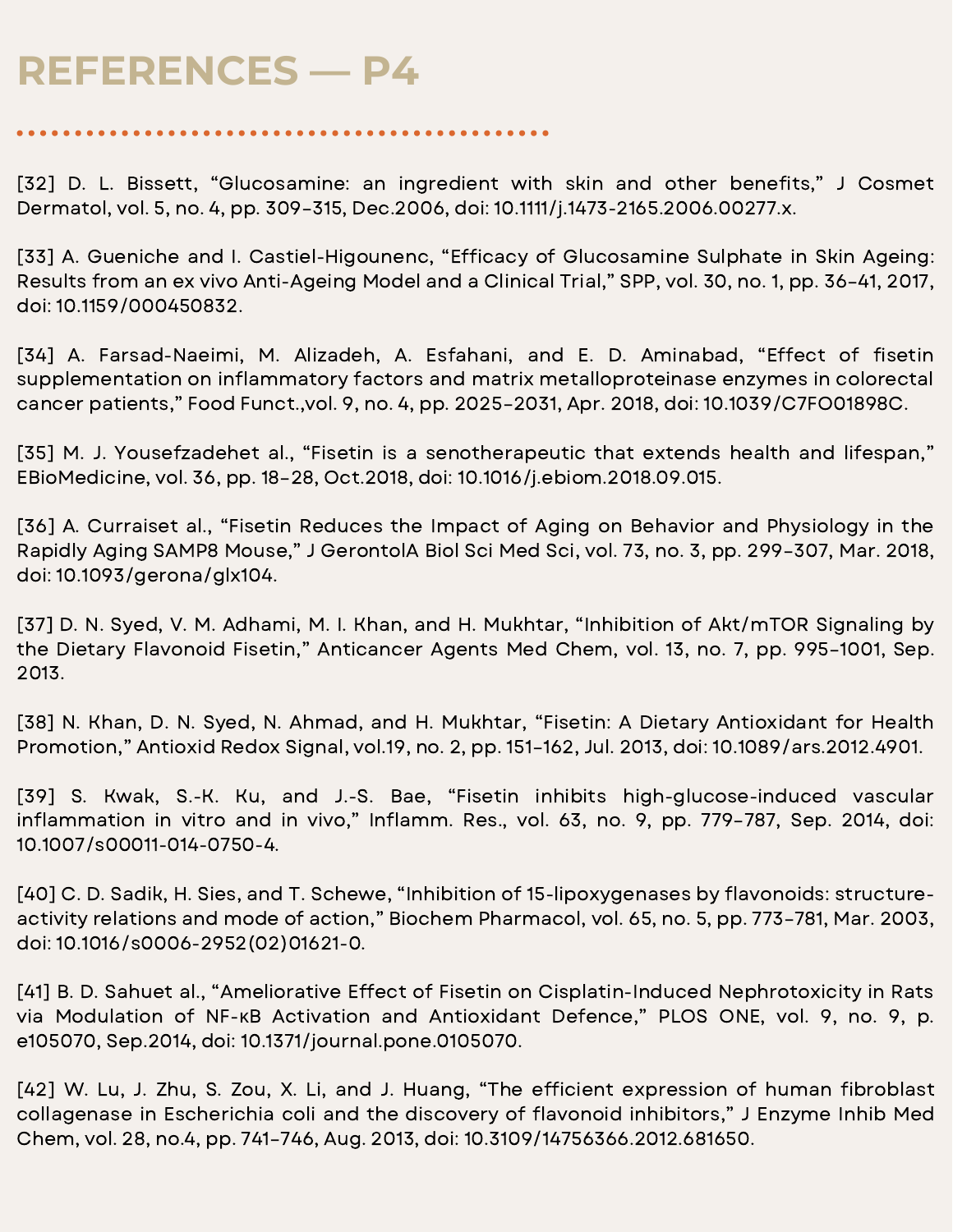[32] D. L. Bissett, "Glucosamine: an ingredient with skin and other benefits," J Cosmet Dermatol, vol. 5, no. 4, pp. 309–315, Dec.2006, doi: 10.1111/j.1473-2165.2006.00277.x.

[33] A. Gueniche and I. Castiel-Higounenc, "Efficacy of Glucosamine Sulphate in Skin Ageing: Results from an ex vivo Anti-Ageing Model and a Clinical Trial," SPP, vol. 30, no. 1, pp. 36–41, 2017, doi: 10.1159/000450832.

[34] A. Farsad-Naeimi, M. Alizadeh, A. Esfahani, and E. D. Aminabad, "Effect of fisetin supplementation on inflammatory factors and matrix metalloproteinase enzymes in colorectal cancer patients," Food Funct.,vol. 9, no. 4, pp. 2025–2031, Apr. 2018, doi: 10.1039/C7FO01898C.

[35] M. J. Yousefzadehet al., "Fisetin is a senotherapeutic that extends health and lifespan," EBioMedicine, vol. 36, pp. 18–28, Oct.2018, doi: 10.1016/j.ebiom.2018.09.015.

[36] A. Curraiset al., "Fisetin Reduces the Impact of Aging on Behavior and Physiology in the Rapidly Aging SAMP8 Mouse," J GerontolA Biol Sci Med Sci, vol. 73, no. 3, pp. 299–307, Mar. 2018, doi: 10.1093/gerona/glx104.

[37] D. N. Syed, V. M. Adhami, M. I. Khan, and H. Mukhtar, "Inhibition of Akt/mTOR Signaling by the Dietary Flavonoid Fisetin," Anticancer Agents Med Chem, vol. 13, no. 7, pp. 995–1001, Sep. 2013.

[38] N. Khan, D. N. Syed, N. Ahmad, and H. Mukhtar, "Fisetin: A Dietary Antioxidant for Health Promotion," Antioxid Redox Signal, vol.19, no. 2, pp. 151–162, Jul. 2013, doi: 10.1089/ars.2012.4901.

[39] S. Kwak, S.-K. Ku, and J.-S. Bae, "Fisetin inhibits high-glucose-induced vascular inflammation in vitro and in vivo," Inflamm. Res., vol. 63, no. 9, pp. 779-787, Sep. 2014, doi: 10.1007/s00011-014-0750-4.

[40] C. D. Sadik, H. Sies, and T. Schewe, "Inhibition of 15-lipoxygenases by flavonoids: structureactivity relations and mode of action," Biochem Pharmacol, vol. 65, no. 5, pp. 773–781, Mar. 2003, doi: 10.1016/s0006-2952(02)01621-0.

[41] B. D. Sahuet al., "Ameliorative Effect of Fisetin on Cisplatin-Induced Nephrotoxicity in Rats via Modulation of NF-κB Activation and Antioxidant Defence," PLOS ONE, vol. 9, no. 9, p. e105070, Sep.2014, doi: 10.1371/journal.pone.0105070.

[42] W. Lu, J. Zhu, S. Zou, X. Li, and J. Huang, "The efficient expression of human fibroblast collagenase in Escherichia coli and the discovery of flavonoid inhibitors," J Enzyme Inhib Med Chem, vol. 28, no.4, pp. 741–746, Aug. 2013, doi: 10.3109/14756366.2012.681650.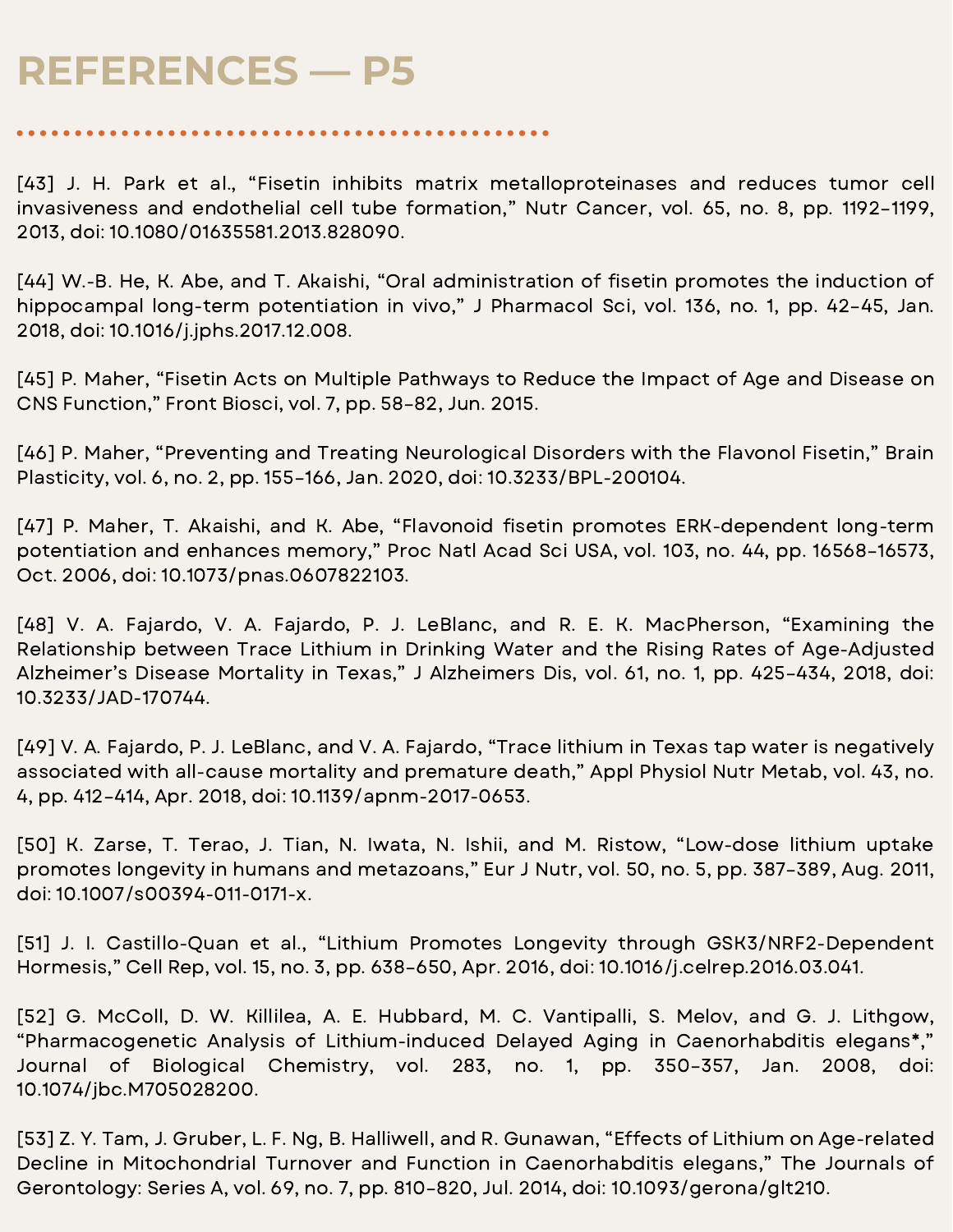[43] J. H. Park et al., "Fisetin inhibits matrix metalloproteinases and reduces tumor cell invasiveness and endothelial cell tube formation," Nutr Cancer, vol. 65, no. 8, pp. 1192–1199, 2013, doi: 10.1080/01635581.2013.828090.

[44] W.-B. He, K. Abe, and T. Akaishi, "Oral administration of fisetin promotes the induction of hippocampal long-term potentiation in vivo," J Pharmacol Sci, vol. 136, no. 1, pp. 42–45, Jan. 2018, doi: 10.1016/j.jphs.2017.12.008.

[45] P. Maher, "Fisetin Acts on Multiple Pathways to Reduce the Impact of Age and Disease on CNS Function," Front Biosci, vol. 7, pp. 58–82, Jun. 2015.

[46] P. Maher, "Preventing and Treating Neurological Disorders with the Flavonol Fisetin," Brain Plasticity, vol. 6, no. 2, pp. 155–166, Jan. 2020, doi: 10.3233/BPL-200104.

[47] P. Maher, T. Akaishi, and K. Abe, "Flavonoid fisetin promotes ERK-dependent long-term potentiation and enhances memory," Proc Natl Acad Sci USA, vol. 103, no. 44, pp. 16568–16573, Oct. 2006, doi: 10.1073/pnas.0607822103.

[48] V. A. Fajardo, V. A. Fajardo, P. J. LeBlanc, and R. E. K. MacPherson, "Examining the Relationship between Trace Lithium in Drinking Water and the Rising Rates of Age-Adjusted Alzheimer's Disease Mortality in Texas," J Alzheimers Dis, vol. 61, no. 1, pp. 425–434, 2018, doi: 10.3233/JAD-170744.

[49] V. A. Fajardo, P. J. LeBlanc, and V. A. Fajardo, "Trace lithium in Texas tap water is negatively associated with all-cause mortality and premature death," Appl Physiol Nutr Metab, vol. 43, no. 4, pp. 412–414, Apr. 2018, doi: 10.1139/apnm-2017-0653.

[50] K. Zarse, T. Terao, J. Tian, N. Iwata, N. Ishii, and M. Ristow, "Low-dose lithium uptake promotes longevity in humans and metazoans," Eur J Nutr, vol. 50, no. 5, pp. 387–389, Aug. 2011, doi: 10.1007/s00394-011-0171-x.

[51] J. I. Castillo-Quan et al., "Lithium Promotes Longevity through GSK3/NRF2-Dependent Hormesis," Cell Rep, vol. 15, no. 3, pp. 638–650, Apr. 2016, doi: 10.1016/j.celrep.2016.03.041.

[52] G. McColl, D. W. Killilea, A. E. Hubbard, M. C. Vantipalli, S. Melov, and G. J. Lithgow, "Pharmacogenetic Analysis of Lithium-induced Delayed Aging in Caenorhabditis elegans\*," Journal of Biological Chemistry, vol. 283, no. 1, pp. 350–357, Jan. 2008, doi: 10.1074/jbc.M705028200.

[53] Z. Y. Tam, J. Gruber, L. F. Ng, B. Halliwell, and R. Gunawan, "Effects of Lithium on Age-related Decline in Mitochondrial Turnover and Function in Caenorhabditis elegans," The Journals of Gerontology: Series A, vol. 69, no. 7, pp. 810–820, Jul. 2014, doi: 10.1093/gerona/glt210.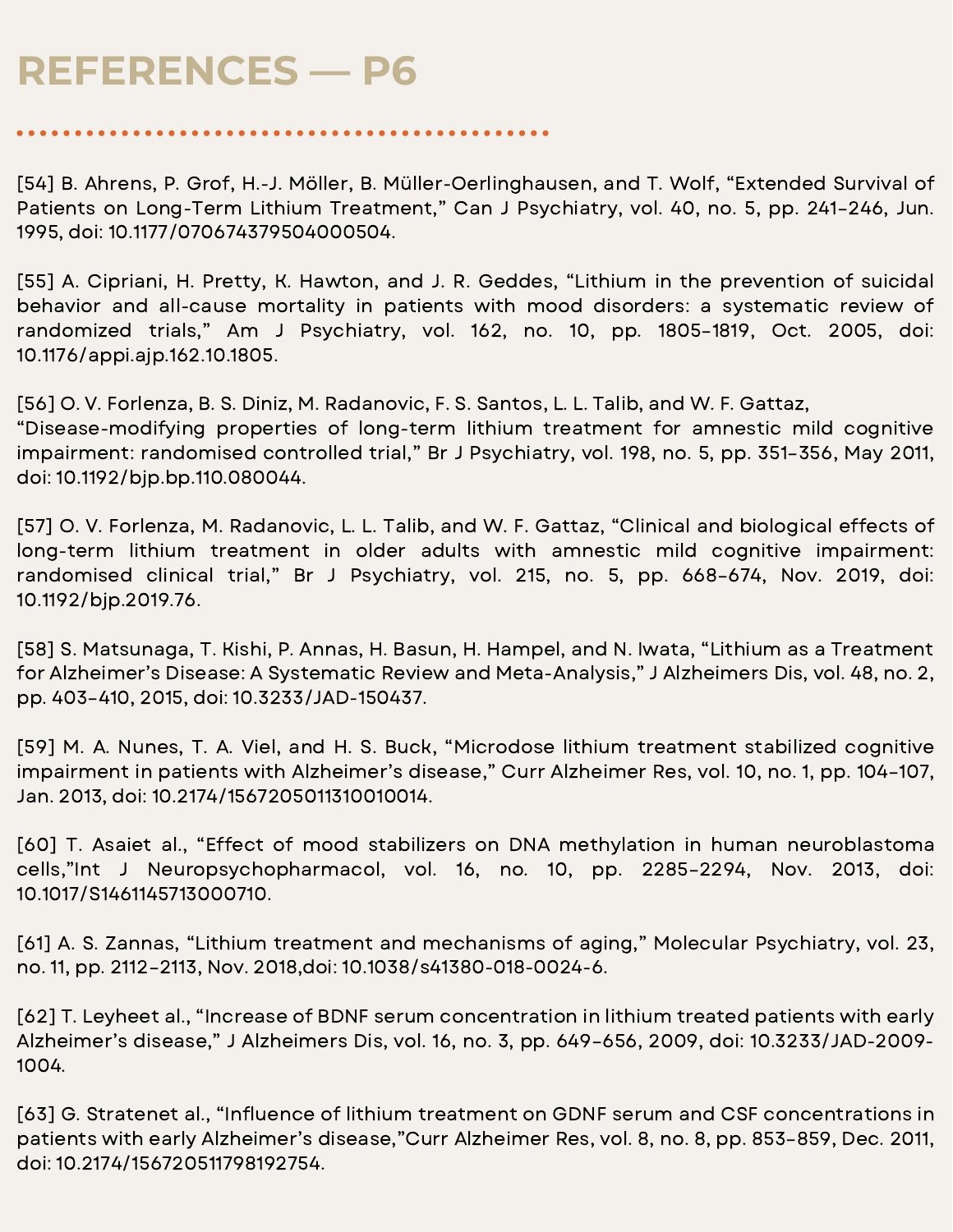[54] B. Ahrens, P. Grof, H.-J. Möller, B. Müller-Oerlinghausen, and T. Wolf, "Extended Survival of Patients on Long-Term Lithium Treatment," Can J Psychiatry, vol. 40, no. 5, pp. 241–246, Jun. 1995, doi: 10.1177/070674379504000504.

[55] A. Cipriani, H. Pretty, K. Hawton, and J. R. Geddes, "Lithium in the prevention of suicidal behavior and all-cause mortality in patients with mood disorders: a systematic review of randomized trials," Am J Psychiatry, vol. 162, no. 10, pp. 1805–1819, Oct. 2005, doi: 10.1176/appi.ajp.162.10.1805.

[56] O. V. Forlenza, B. S. Diniz, M. Radanovic, F. S. Santos, L. L. Talib, and W. F. Gattaz, "Disease-modifying properties of long-term lithium treatment for amnestic mild cognitive impairment: randomised controlled trial," Br J Psychiatry, vol. 198, no. 5, pp. 351–356, May 2011, doi: 10.1192/bjp.bp.110.080044.

[57] O. V. Forlenza, M. Radanovic, L. L. Talib, and W. F. Gattaz, "Clinical and biological effects of long-term lithium treatment in older adults with amnestic mild cognitive impairment: randomised clinical trial," Br J Psychiatry, vol. 215, no. 5, pp. 668–674, Nov. 2019, doi: 10.1192/bjp.2019.76.

[58] S. Matsunaga, T. Kishi, P. Annas, H. Basun, H. Hampel, and N. Iwata, "Lithium as a Treatment for Alzheimer's Disease: A Systematic Review and Meta-Analysis," J Alzheimers Dis, vol. 48, no. 2, pp. 403–410, 2015, doi: 10.3233/JAD-150437.

[59] M. A. Nunes, T. A. Viel, and H. S. Buck, "Microdose lithium treatment stabilized cognitive impairment in patients with Alzheimer's disease," Curr Alzheimer Res, vol. 10, no. 1, pp. 104–107, Jan. 2013, doi: 10.2174/1567205011310010014.

[60] T. Asaiet al., "Effect of mood stabilizers on DNA methylation in human neuroblastoma cells,"Int J Neuropsychopharmacol, vol. 16, no. 10, pp. 2285–2294, Nov. 2013, doi: 10.1017/S1461145713000710.

[61] A. S. Zannas, "Lithium treatment and mechanisms of aging," Molecular Psychiatry, vol. 23, no. 11, pp. 2112–2113, Nov. 2018,doi: 10.1038/s41380-018-0024-6.

[62] T. Leyheet al., "Increase of BDNF serum concentration in lithium treated patients with early Alzheimer's disease," J Alzheimers Dis, vol. 16, no. 3, pp. 649–656, 2009, doi: 10.3233/JAD-2009- 1004.

[63] G. Stratenet al., "Influence of lithium treatment on GDNF serum and CSF concentrations in patients with early Alzheimer's disease,"Curr Alzheimer Res, vol. 8, no. 8, pp. 853–859, Dec. 2011, doi: 10.2174/156720511798192754.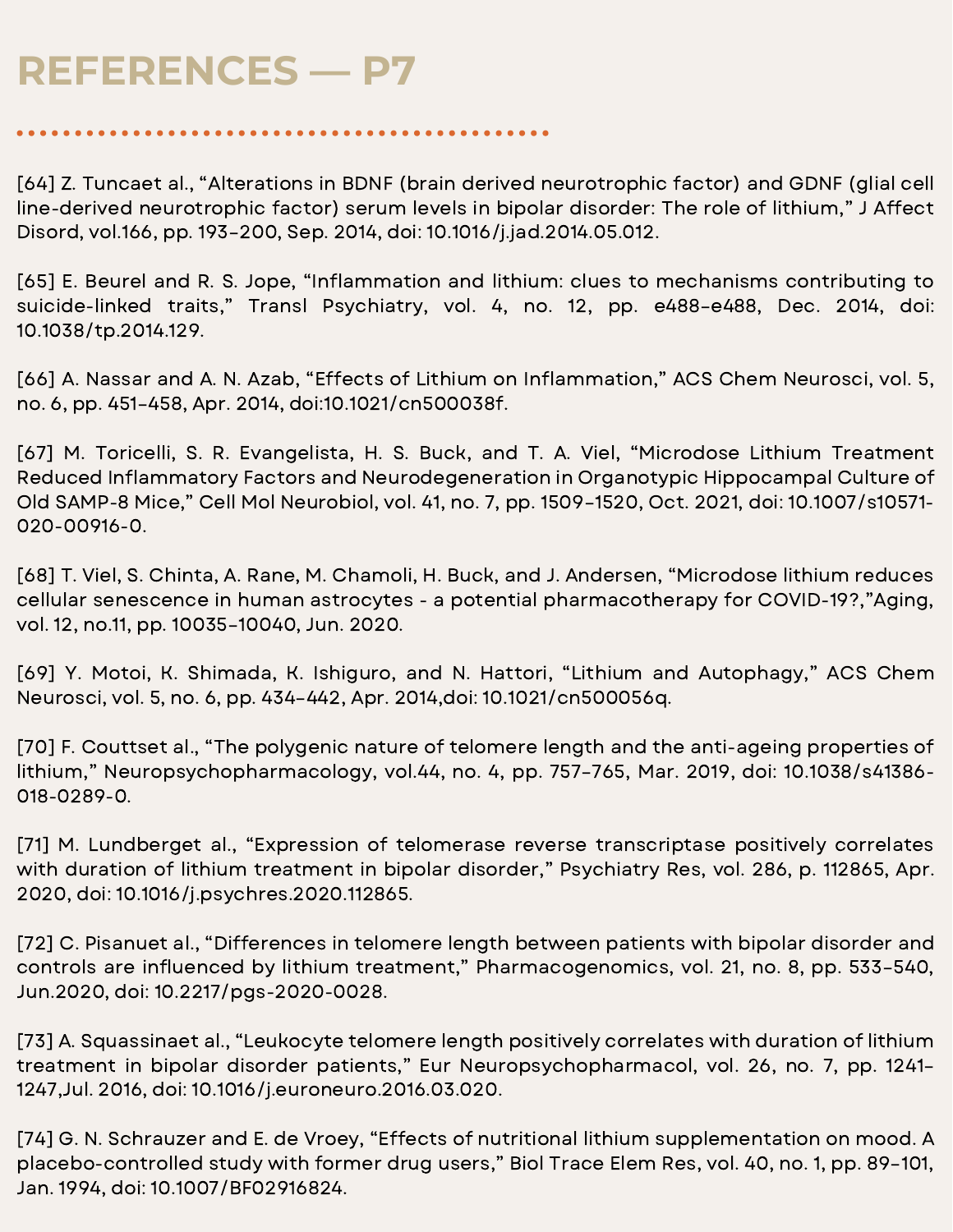[64] Z. Tuncaet al., "Alterations in BDNF (brain derived neurotrophic factor) and GDNF (glial cell line-derived neurotrophic factor) serum levels in bipolar disorder: The role of lithium," J Affect Disord, vol.166, pp. 193–200, Sep. 2014, doi: 10.1016/j.jad.2014.05.012.

[65] E. Beurel and R. S. Jope, "Inflammation and lithium: clues to mechanisms contributing to suicide-linked traits," Transl Psychiatry, vol. 4, no. 12, pp. e488–e488, Dec. 2014, doi: 10.1038/tp.2014.129.

[66] A. Nassar and A. N. Azab, "Effects of Lithium on Inflammation," ACS Chem Neurosci, vol. 5, no. 6, pp. 451–458, Apr. 2014, doi:10.1021/cn500038f.

[67] M. Toricelli, S. R. Evangelista, H. S. Buck, and T. A. Viel, "Microdose Lithium Treatment Reduced Inflammatory Factors and Neurodegeneration in Organotypic Hippocampal Culture of Old SAMP-8 Mice," Cell Mol Neurobiol, vol. 41, no. 7, pp. 1509–1520, Oct. 2021, doi: 10.1007/s10571- 020-00916-0.

[68] T. Viel, S. Chinta, A. Rane, M. Chamoli, H. Buck, and J. Andersen, "Microdose lithium reduces cellular senescence in human astrocytes - a potential pharmacotherapy for COVID-19?,"Aging, vol. 12, no.11, pp. 10035–10040, Jun. 2020.

[69] Y. Motoi, K. Shimada, K. Ishiguro, and N. Hattori, "Lithium and Autophagy," ACS Chem Neurosci, vol. 5, no. 6, pp. 434–442, Apr. 2014,doi: 10.1021/cn500056q.

[70] F. Couttset al., "The polygenic nature of telomere length and the anti-ageing properties of lithium," Neuropsychopharmacology, vol.44, no. 4, pp. 757–765, Mar. 2019, doi: 10.1038/s41386- 018-0289-0.

[71] M. Lundberget al., "Expression of telomerase reverse transcriptase positively correlates with duration of lithium treatment in bipolar disorder," Psychiatry Res, vol. 286, p. 112865, Apr. 2020, doi: 10.1016/j.psychres.2020.112865.

[72] C. Pisanuet al., "Differences in telomere length between patients with bipolar disorder and controls are influenced by lithium treatment," Pharmacogenomics, vol. 21, no. 8, pp. 533-540, Jun.2020, doi: 10.2217/pgs-2020-0028.

[73] A. Squassinaet al., "Leukocyte telomere length positively correlates with duration of lithium treatment in bipolar disorder patients," Eur Neuropsychopharmacol, vol. 26, no. 7, pp. 1241– 1247,Jul. 2016, doi: 10.1016/j.euroneuro.2016.03.020.

[74] G. N. Schrauzer and E. de Vroey, "Effects of nutritional lithium supplementation on mood. A placebo-controlled study with former drug users," Biol Trace Elem Res, vol. 40, no. 1, pp. 89–101, Jan. 1994, doi: 10.1007/BF02916824.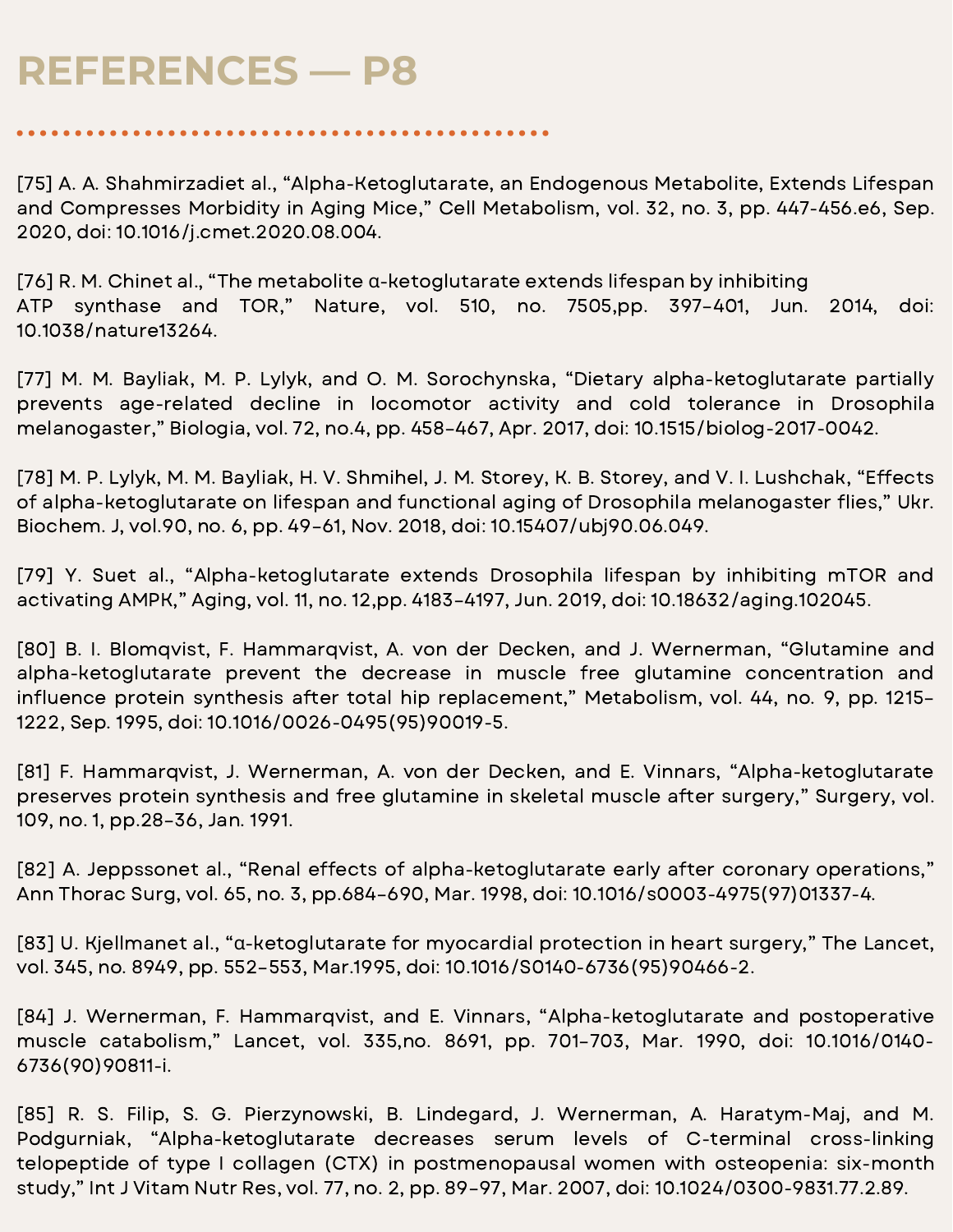[75] A. A. Shahmirzadiet al., "Alpha-Ketoglutarate, an Endogenous Metabolite, Extends Lifespan and Compresses Morbidity in Aging Mice," Cell Metabolism, vol. 32, no. 3, pp. 447-456.e6, Sep. 2020, doi: 10.1016/j.cmet.2020.08.004.

[76] R. M. Chinet al., "The metabolite α-ketoglutarate extends lifespan by inhibiting ATP synthase and TOR," Nature, vol. 510, no. 7505,pp. 397–401, Jun. 2014, doi: 10.1038/nature13264.

[77] M. M. Bayliak, M. P. Lylyk, and O. M. Sorochynska, "Dietary alpha-ketoglutarate partially prevents age-related decline in locomotor activity and cold tolerance in Drosophila melanogaster," Biologia, vol. 72, no.4, pp. 458–467, Apr. 2017, doi: 10.1515/biolog-2017-0042.

[78] M. P. Lylyk, M. M. Bayliak, H. V. Shmihel, J. M. Storey, K. B. Storey, and V. I. Lushchak, "Effects of alpha-ketoglutarate on lifespan and functional aging of Drosophila melanogaster flies," Ukr. Biochem. J, vol.90, no. 6, pp. 49–61, Nov. 2018, doi: 10.15407/ubj90.06.049.

[79] Y. Suet al., "Alpha-ketoglutarate extends Drosophila lifespan by inhibiting mTOR and activating AMPK," Aging, vol. 11, no. 12,pp. 4183–4197, Jun. 2019, doi: 10.18632/aging.102045.

[80] B. I. Blomqvist, F. Hammarqvist, A. von der Decken, and J. Wernerman, "Glutamine and alpha-ketoglutarate prevent the decrease in muscle free glutamine concentration and influence protein synthesis after total hip replacement," Metabolism, vol. 44, no. 9, pp. 1215-1222, Sep. 1995, doi: 10.1016/0026-0495(95)90019-5.

[81] F. Hammarqvist, J. Wernerman, A. von der Decken, and E. Vinnars, "Alpha-ketoglutarate preserves protein synthesis and free glutamine in skeletal muscle after surgery," Surgery, vol. 109, no. 1, pp.28–36, Jan. 1991.

[82] A. Jeppssonet al., "Renal effects of alpha-ketoglutarate early after coronary operations," Ann Thorac Surg, vol. 65, no. 3, pp.684–690, Mar. 1998, doi: 10.1016/s0003-4975(97)01337-4.

[83] U. Kjellmanet al., "α-ketoglutarate for myocardial protection in heart surgery," The Lancet, vol. 345, no. 8949, pp. 552–553, Mar.1995, doi: 10.1016/S0140-6736(95)90466-2.

[84] J. Wernerman, F. Hammarqvist, and E. Vinnars, "Alpha-ketoglutarate and postoperative muscle catabolism," Lancet, vol. 335,no. 8691, pp. 701–703, Mar. 1990, doi: 10.1016/0140- 6736(90)90811-i.

[85] R. S. Filip, S. G. Pierzynowski, B. Lindegard, J. Wernerman, A. Haratym-Maj, and M. Podgurniak, "Alpha-ketoglutarate decreases serum levels of C-terminal cross-linking telopeptide of type I collagen (CTX) in postmenopausal women with osteopenia: six-month study," Int J Vitam Nutr Res, vol. 77, no. 2, pp. 89–97, Mar. 2007, doi: 10.1024/0300-9831.77.2.89.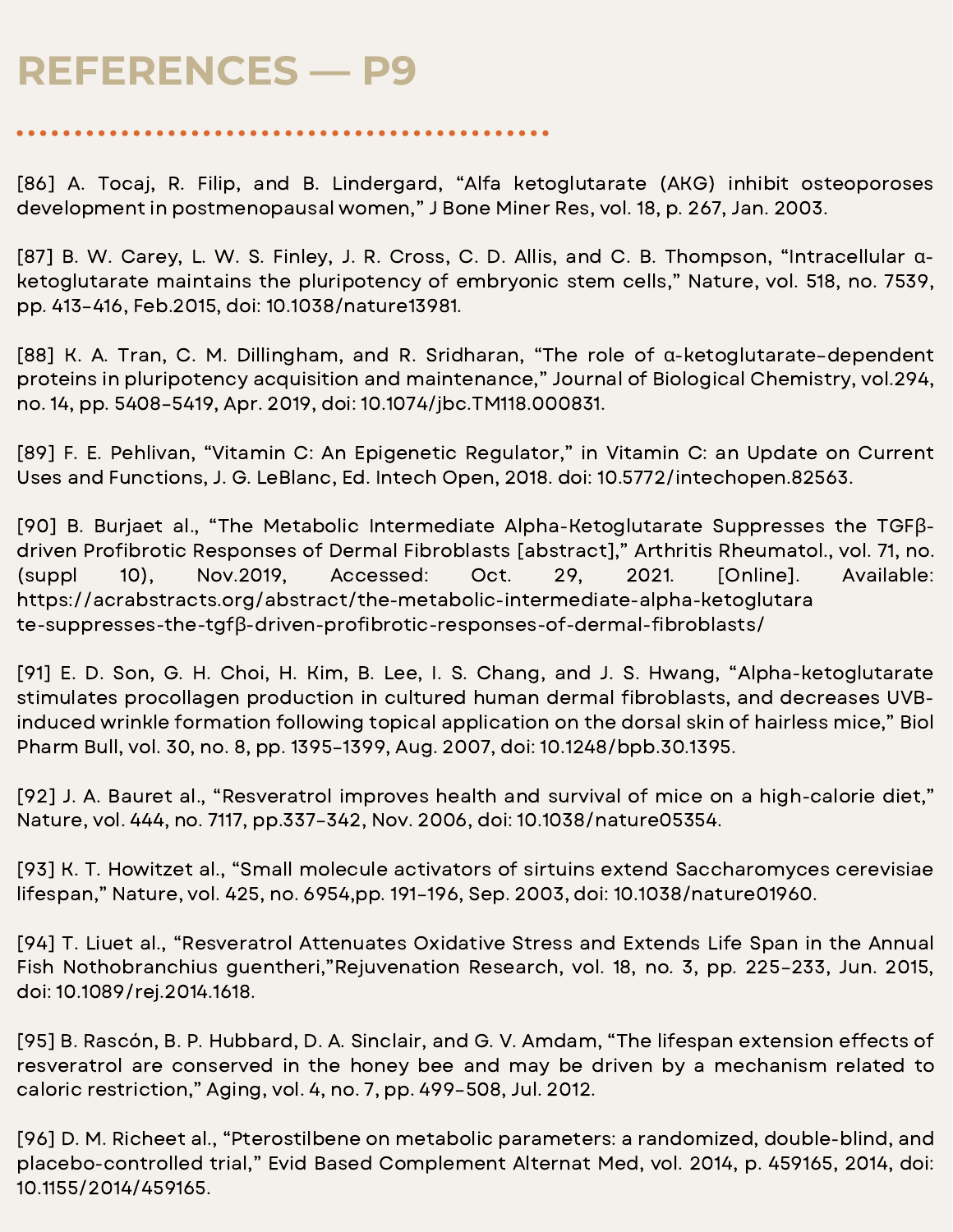[86] A. Tocaj, R. Filip, and B. Lindergard, "Alfa ketoglutarate (AKG) inhibit osteoporoses development in postmenopausal women," J Bone Miner Res, vol. 18, p. 267, Jan. 2003.

[87] B. W. Carey, L. W. S. Finley, J. R. Cross, C. D. Allis, and C. B. Thompson, "Intracellular αketoglutarate maintains the pluripotency of embryonic stem cells," Nature, vol. 518, no. 7539, pp. 413–416, Feb.2015, doi: 10.1038/nature13981.

[88] K. A. Tran, C. M. Dillingham, and R. Sridharan, "The role of α-ketoglutarate–dependent proteins in pluripotency acquisition and maintenance," Journal of Biological Chemistry, vol.294, no. 14, pp. 5408–5419, Apr. 2019, doi: 10.1074/jbc.TM118.000831.

[89] F. E. Pehlivan, "Vitamin C: An Epigenetic Regulator," in Vitamin C: an Update on Current Uses and Functions, J. G. LeBlanc, Ed. Intech Open, 2018. doi: 10.5772/intechopen.82563.

[90] B. Burjaet al., "The Metabolic Intermediate Alpha-Ketoglutarate Suppresses the TGFβdriven Profibrotic Responses of Dermal Fibroblasts [abstract]," Arthritis Rheumatol., vol. 71, no. (suppl 10), Nov.2019, Accessed: Oct. 29, 2021. [Online]. Available: https://acrabstracts.org/abstract/the-metabolic-intermediate-alpha-ketoglutara te-suppresses-the-tgfβ-driven-profibrotic-responses-of-dermal-fibroblasts/

[91] E. D. Son, G. H. Choi, H. Kim, B. Lee, I. S. Chang, and J. S. Hwang, "Alpha-ketoglutarate stimulates procollagen production in cultured human dermal fibroblasts, and decreases UVBinduced wrinkle formation following topical application on the dorsal skin of hairless mice," Biol Pharm Bull, vol. 30, no. 8, pp. 1395–1399, Aug. 2007, doi: 10.1248/bpb.30.1395.

[92] J. A. Bauret al., "Resveratrol improves health and survival of mice on a high-calorie diet," Nature, vol. 444, no. 7117, pp.337–342, Nov. 2006, doi: 10.1038/nature05354.

[93] K. T. Howitzet al., "Small molecule activators of sirtuins extend Saccharomyces cerevisiae lifespan," Nature, vol. 425, no. 6954,pp. 191–196, Sep. 2003, doi: 10.1038/nature01960.

[94] T. Liuet al., "Resveratrol Attenuates Oxidative Stress and Extends Life Span in the Annual Fish Nothobranchius guentheri,"Rejuvenation Research, vol. 18, no. 3, pp. 225–233, Jun. 2015, doi: 10.1089/rej.2014.1618.

[95] B. Rascón, B. P. Hubbard, D. A. Sinclair, and G. V. Amdam, "The lifespan extension effects of resveratrol are conserved in the honey bee and may be driven by a mechanism related to caloric restriction," Aging, vol. 4, no. 7, pp. 499–508, Jul. 2012.

[96] D. M. Richeet al., "Pterostilbene on metabolic parameters: a randomized, double-blind, and placebo-controlled trial," Evid Based Complement Alternat Med, vol. 2014, p. 459165, 2014, doi: 10.1155/2014/459165.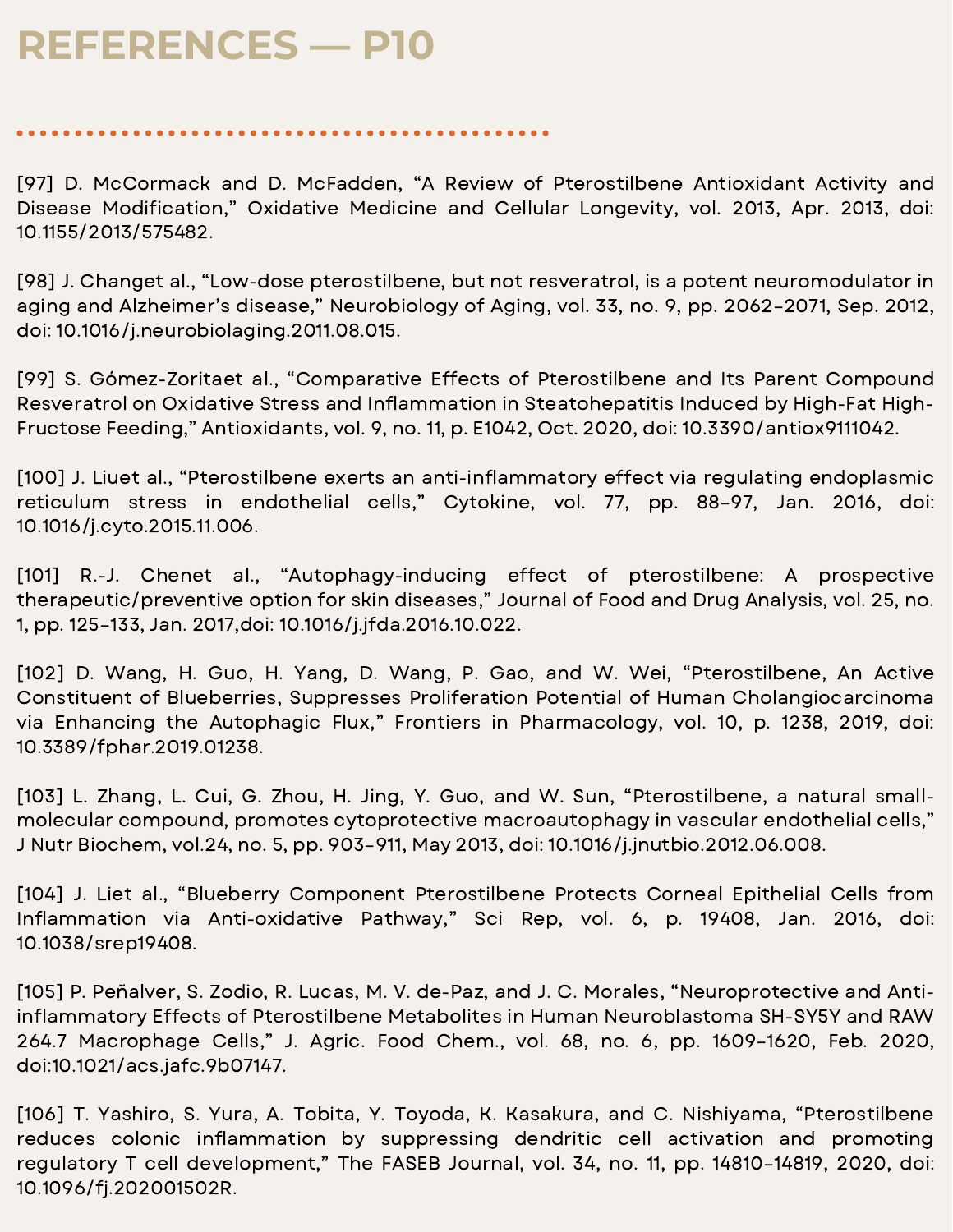[97] D. McCormack and D. McFadden, "A Review of Pterostilbene Antioxidant Activity and Disease Modification," Oxidative Medicine and Cellular Longevity, vol. 2013, Apr. 2013, doi: 10.1155/2013/575482.

[98] J. Changet al., "Low-dose pterostilbene, but not resveratrol, is a potent neuromodulator in aging and Alzheimer's disease," Neurobiology of Aging, vol. 33, no. 9, pp. 2062–2071, Sep. 2012, doi: 10.1016/j.neurobiolaging.2011.08.015.

[99] S. Gómez-Zoritaet al., "Comparative Effects of Pterostilbene and Its Parent Compound Resveratrol on Oxidative Stress and Inflammation in Steatohepatitis Induced by High-Fat High-Fructose Feeding," Antioxidants, vol. 9, no. 11, p. E1042, Oct. 2020, doi: 10.3390/antiox9111042.

[100] J. Liuet al., "Pterostilbene exerts an anti-inflammatory effect via regulating endoplasmic reticulum stress in endothelial cells," Cytokine, vol. 77, pp. 88–97, Jan. 2016, doi: 10.1016/j.cyto.2015.11.006.

[101] R.-J. Chenet al., "Autophagy-inducing effect of pterostilbene: A prospective therapeutic/preventive option for skin diseases," Journal of Food and Drug Analysis, vol. 25, no. 1, pp. 125–133, Jan. 2017,doi: 10.1016/j.jfda.2016.10.022.

[102] D. Wang, H. Guo, H. Yang, D. Wang, P. Gao, and W. Wei, "Pterostilbene, An Active Constituent of Blueberries, Suppresses Proliferation Potential of Human Cholangiocarcinoma via Enhancing the Autophagic Flux," Frontiers in Pharmacology, vol. 10, p. 1238, 2019, doi: 10.3389/fphar.2019.01238.

[103] L. Zhang, L. Cui, G. Zhou, H. Jing, Y. Guo, and W. Sun, "Pterostilbene, a natural smallmolecular compound, promotes cytoprotective macroautophagy in vascular endothelial cells," J Nutr Biochem, vol.24, no. 5, pp. 903–911, May 2013, doi: 10.1016/j.jnutbio.2012.06.008.

[104] J. Liet al., "Blueberry Component Pterostilbene Protects Corneal Epithelial Cells from Inflammation via Anti-oxidative Pathway," Sci Rep, vol. 6, p. 19408, Jan. 2016, doi: 10.1038/srep19408.

[105] P. Peñalver, S. Zodio, R. Lucas, M. V. de-Paz, and J. C. Morales, "Neuroprotective and Antiinflammatory Effects of Pterostilbene Metabolites in Human Neuroblastoma SH-SY5Y and RAW 264.7 Macrophage Cells," J. Agric. Food Chem., vol. 68, no. 6, pp. 1609–1620, Feb. 2020, doi:10.1021/acs.jafc.9b07147.

[106] T. Yashiro, S. Yura, A. Tobita, Y. Toyoda, K. Kasakura, and C. Nishiyama, "Pterostilbene reduces colonic inflammation by suppressing dendritic cell activation and promoting regulatory T cell development," The FASEB Journal, vol. 34, no. 11, pp. 14810–14819, 2020, doi: 10.1096/fj.202001502R.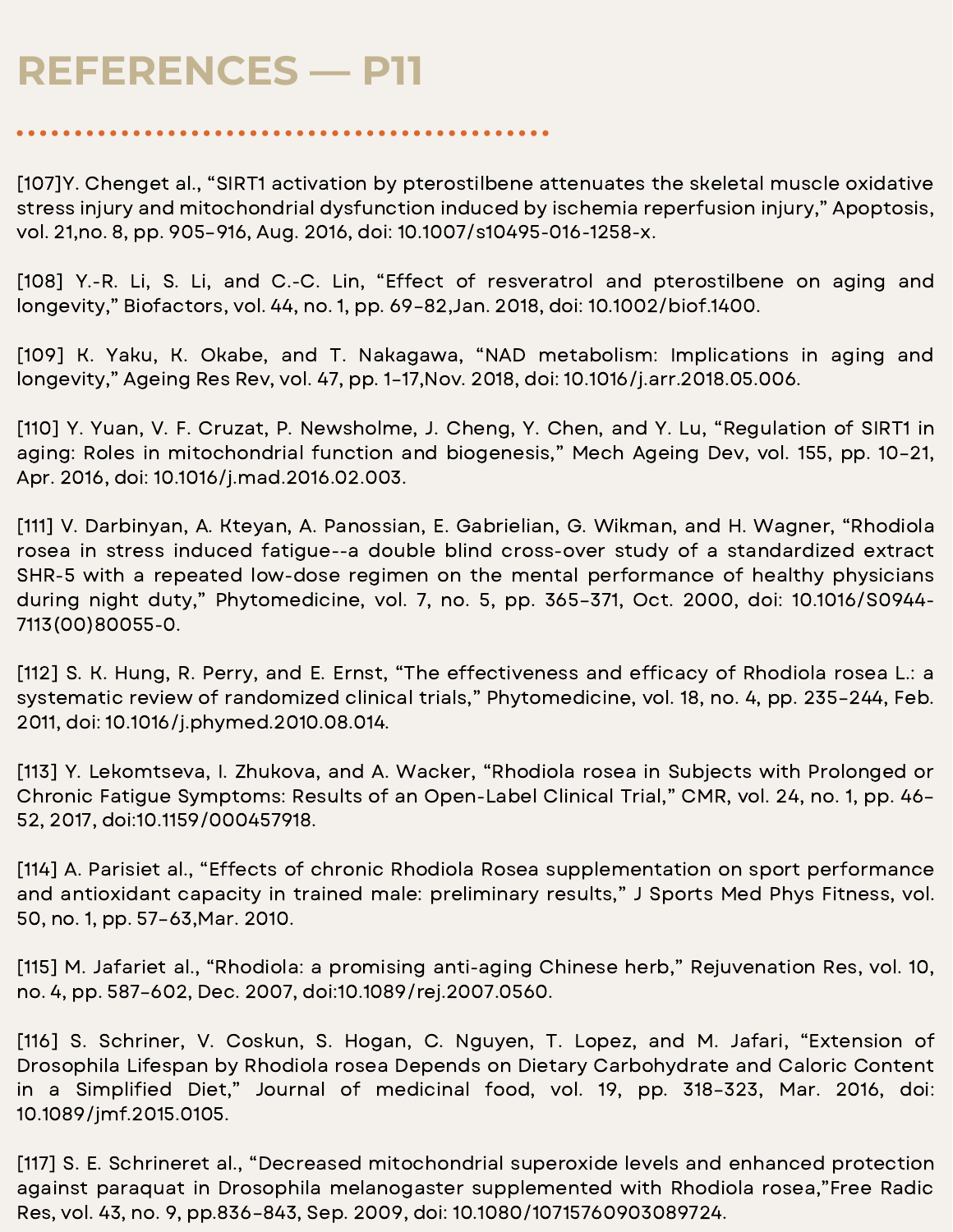[107]Y. Chenget al., "SIRT1 activation by pterostilbene attenuates the skeletal muscle oxidative stress injury and mitochondrial dysfunction induced by ischemia reperfusion injury," Apoptosis, vol. 21,no. 8, pp. 905–916, Aug. 2016, doi: 10.1007/s10495-016-1258-x.

[108] Y.-R. Li, S. Li, and C.-C. Lin, "Effect of resveratrol and pterostilbene on aging and longevity," Biofactors, vol. 44, no. 1, pp. 69–82,Jan. 2018, doi: 10.1002/biof.1400.

[109] K. Yaku, K. Okabe, and T. Nakagawa, "NAD metabolism: Implications in aging and longevity," Ageing Res Rev, vol. 47, pp. 1–17,Nov. 2018, doi: 10.1016/j.arr.2018.05.006.

[110] Y. Yuan, V. F. Cruzat, P. Newsholme, J. Cheng, Y. Chen, and Y. Lu, "Regulation of SIRT1 in aging: Roles in mitochondrial function and biogenesis," Mech Ageing Dev, vol. 155, pp. 10–21, Apr. 2016, doi: 10.1016/j.mad.2016.02.003.

[111] V. Darbinyan, A. Kteyan, A. Panossian, E. Gabrielian, G. Wikman, and H. Wagner, "Rhodiola rosea in stress induced fatigue--a double blind cross-over study of a standardized extract SHR-5 with a repeated low-dose regimen on the mental performance of healthy physicians during night duty," Phytomedicine, vol. 7, no. 5, pp. 365–371, Oct. 2000, doi: 10.1016/S0944- 7113(00)80055-0.

[112] S. K. Hung, R. Perry, and E. Ernst, "The effectiveness and efficacy of Rhodiola rosea L.: a systematic review of randomized clinical trials," Phytomedicine, vol. 18, no. 4, pp. 235–244, Feb. 2011, doi: 10.1016/j.phymed.2010.08.014.

[113] Y. Lekomtseva, I. Zhukova, and A. Wacker, "Rhodiola rosea in Subjects with Prolonged or Chronic Fatigue Symptoms: Results of an Open-Label Clinical Trial," CMR, vol. 24, no. 1, pp. 46– 52, 2017, doi:10.1159/000457918.

[114] A. Parisiet al., "Effects of chronic Rhodiola Rosea supplementation on sport performance and antioxidant capacity in trained male: preliminary results," J Sports Med Phys Fitness, vol. 50, no. 1, pp. 57–63,Mar. 2010.

[115] M. Jafariet al., "Rhodiola: a promising anti-aging Chinese herb," Rejuvenation Res, vol. 10, no. 4, pp. 587–602, Dec. 2007, doi:10.1089/rej.2007.0560.

[116] S. Schriner, V. Coskun, S. Hogan, C. Nguyen, T. Lopez, and M. Jafari, "Extension of Drosophila Lifespan by Rhodiola rosea Depends on Dietary Carbohydrate and Caloric Content in a Simplified Diet," Journal of medicinal food, vol. 19, pp. 318-323, Mar. 2016, doi: 10.1089/jmf.2015.0105.

[117] S. E. Schrineret al., "Decreased mitochondrial superoxide levels and enhanced protection against paraquat in Drosophila melanogaster supplemented with Rhodiola rosea,"Free Radic Res, vol. 43, no. 9, pp.836–843, Sep. 2009, doi: 10.1080/10715760903089724.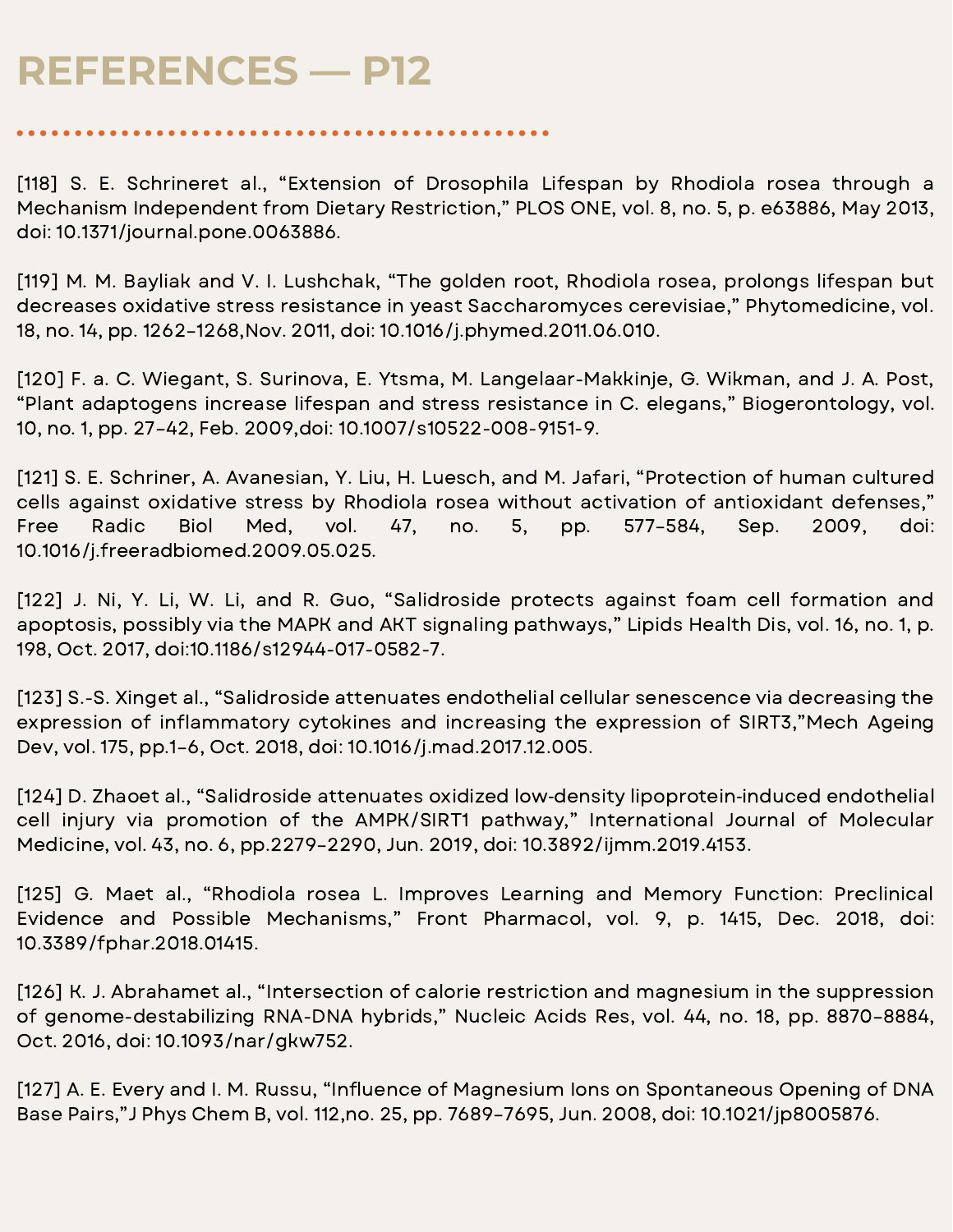[118] S. E. Schrineret al., "Extension of Drosophila Lifespan by Rhodiola rosea through a Mechanism Independent from Dietary Restriction," PLOS ONE, vol. 8, no. 5, p. e63886, May 2013, doi: 10.1371/journal.pone.0063886.

[119] M. M. Bayliak and V. I. Lushchak, "The golden root, Rhodiola rosea, prolongs lifespan but decreases oxidative stress resistance in yeast Saccharomyces cerevisiae," Phytomedicine, vol. 18, no. 14, pp. 1262–1268,Nov. 2011, doi: 10.1016/j.phymed.2011.06.010.

[120] F. a. C. Wiegant, S. Surinova, E. Ytsma, M. Langelaar-Makkinje, G. Wikman, and J. A. Post, "Plant adaptogens increase lifespan and stress resistance in C. elegans," Biogerontology, vol. 10, no. 1, pp. 27–42, Feb. 2009,doi: 10.1007/s10522-008-9151-9.

[121] S. E. Schriner, A. Avanesian, Y. Liu, H. Luesch, and M. Jafari, "Protection of human cultured cells against oxidative stress by Rhodiola rosea without activation of antioxidant defenses," Free Radic Biol Med, vol. 47, no. 5, pp. 577–584, Sep. 2009, doi: 10.1016/j.freeradbiomed.2009.05.025.

[122] J. Ni, Y. Li, W. Li, and R. Guo, "Salidroside protects against foam cell formation and apoptosis, possibly via the MAPK and AKT signaling pathways," Lipids Health Dis, vol. 16, no. 1, p. 198, Oct. 2017, doi:10.1186/s12944-017-0582-7.

[123] S.-S. Xinget al., "Salidroside attenuates endothelial cellular senescence via decreasing the expression of inflammatory cytokines and increasing the expression of SIRT3,"Mech Ageing Dev, vol. 175, pp.1–6, Oct. 2018, doi: 10.1016/j.mad.2017.12.005.

[124] D. Zhaoet al., "Salidroside attenuates oxidized low‑density lipoprotein‑induced endothelial cell injury via promotion of the AMPK/SIRT1 pathway," International Journal of Molecular Medicine, vol. 43, no. 6, pp.2279–2290, Jun. 2019, doi: 10.3892/ijmm.2019.4153.

[125] G. Maet al., "Rhodiola rosea L. Improves Learning and Memory Function: Preclinical Evidence and Possible Mechanisms," Front Pharmacol, vol. 9, p. 1415, Dec. 2018, doi: 10.3389/fphar.2018.01415.

[126] K. J. Abrahamet al., "Intersection of calorie restriction and magnesium in the suppression of genome-destabilizing RNA-DNA hybrids," Nucleic Acids Res, vol. 44, no. 18, pp. 8870–8884, Oct. 2016, doi: 10.1093/nar/gkw752.

[127] A. E. Every and I. M. Russu, "Influence of Magnesium Ions on Spontaneous Opening of DNA Base Pairs,"J Phys Chem B, vol. 112,no. 25, pp. 7689–7695, Jun. 2008, doi: 10.1021/jp8005876.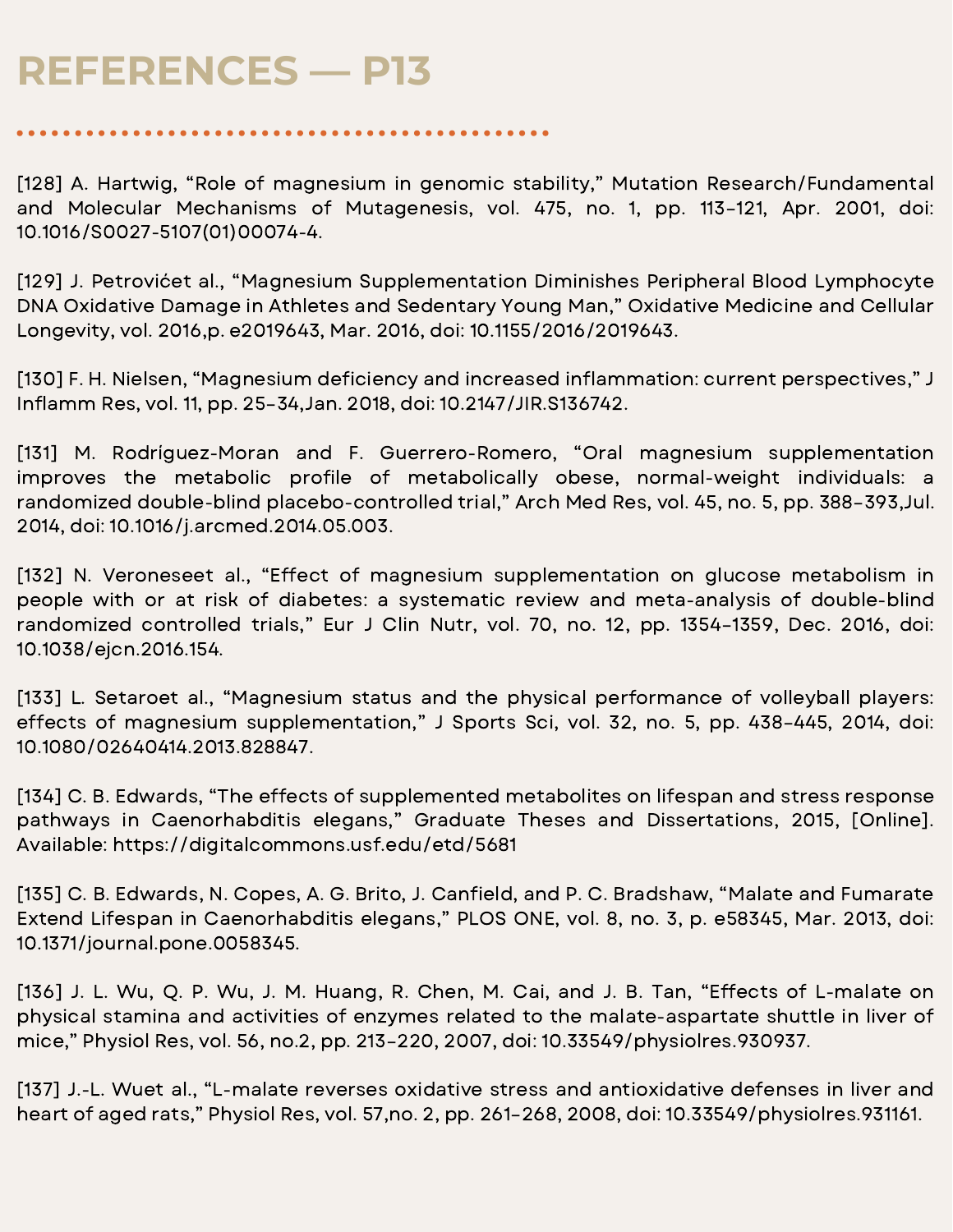[128] A. Hartwig, "Role of magnesium in genomic stability," Mutation Research/Fundamental and Molecular Mechanisms of Mutagenesis, vol. 475, no. 1, pp. 113–121, Apr. 2001, doi: 10.1016/S0027-5107(01)00074-4.

[129] J. Petrovićet al., "Magnesium Supplementation Diminishes Peripheral Blood Lymphocyte DNA Oxidative Damage in Athletes and Sedentary Young Man," Oxidative Medicine and Cellular Longevity, vol. 2016,p. e2019643, Mar. 2016, doi: 10.1155/2016/2019643.

[130] F. H. Nielsen, "Magnesium deficiency and increased inflammation: current perspectives," J Inflamm Res, vol. 11, pp. 25-34, Jan. 2018, doi: 10.2147/JIR.S136742.

[131] M. Rodríguez-Moran and F. Guerrero-Romero, "Oral magnesium supplementation improves the metabolic profile of metabolically obese, normal-weight individuals: a randomized double-blind placebo-controlled trial," Arch Med Res, vol. 45, no. 5, pp. 388–393,Jul. 2014, doi: 10.1016/j.arcmed.2014.05.003.

[132] N. Veroneseet al., "Effect of magnesium supplementation on glucose metabolism in people with or at risk of diabetes: a systematic review and meta-analysis of double-blind randomized controlled trials," Eur J Clin Nutr, vol. 70, no. 12, pp. 1354–1359, Dec. 2016, doi: 10.1038/ejcn.2016.154.

[133] L. Setaroet al., "Magnesium status and the physical performance of volleyball players: effects of magnesium supplementation," J Sports Sci, vol. 32, no. 5, pp. 438–445, 2014, doi: 10.1080/02640414.2013.828847.

[134] C. B. Edwards, "The effects of supplemented metabolites on lifespan and stress response pathways in Caenorhabditis elegans," Graduate Theses and Dissertations, 2015, [Online]. Available: https://digitalcommons.usf.edu/etd/5681

[135] C. B. Edwards, N. Copes, A. G. Brito, J. Canfield, and P. C. Bradshaw, "Malate and Fumarate Extend Lifespan in Caenorhabditis elegans," PLOS ONE, vol. 8, no. 3, p. e58345, Mar. 2013, doi: 10.1371/journal.pone.0058345.

[136] J. L. Wu, Q. P. Wu, J. M. Huang, R. Chen, M. Cai, and J. B. Tan, "Effects of L-malate on physical stamina and activities of enzymes related to the malate-aspartate shuttle in liver of mice," Physiol Res, vol. 56, no.2, pp. 213–220, 2007, doi: 10.33549/physiolres.930937.

[137] J.-L. Wuet al., "L-malate reverses oxidative stress and antioxidative defenses in liver and heart of aged rats," Physiol Res, vol. 57,no. 2, pp. 261–268, 2008, doi: 10.33549/physiolres.931161.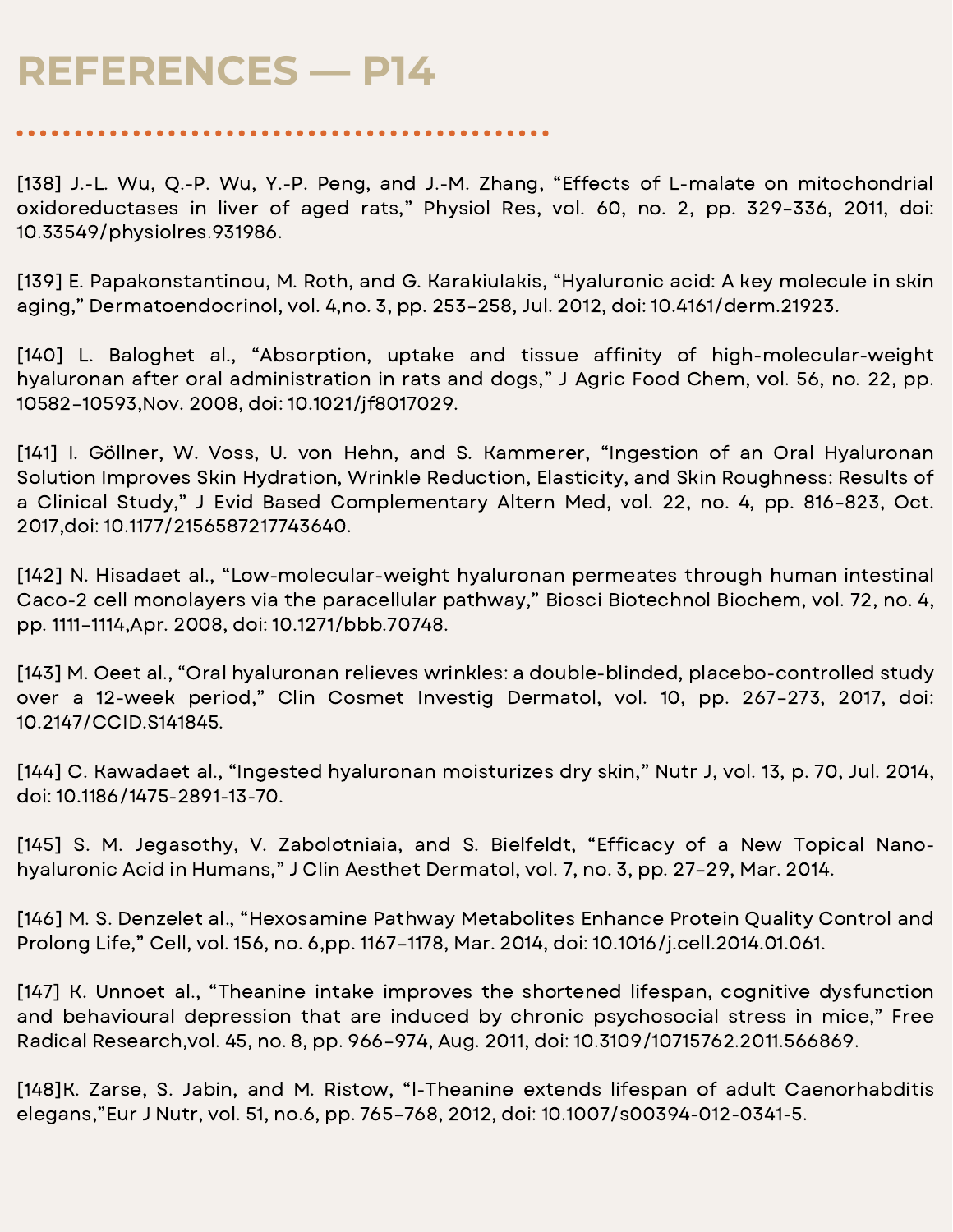[138] J.-L. Wu, Q.-P. Wu, Y.-P. Peng, and J.-M. Zhang, "Effects of L-malate on mitochondrial oxidoreductases in liver of aged rats," Physiol Res, vol. 60, no. 2, pp. 329–336, 2011, doi: 10.33549/physiolres.931986.

[139] E. Papakonstantinou, M. Roth, and G. Karakiulakis, "Hyaluronic acid: A key molecule in skin aging," Dermatoendocrinol, vol. 4,no. 3, pp. 253–258, Jul. 2012, doi: 10.4161/derm.21923.

[140] L. Baloghet al., "Absorption, uptake and tissue affinity of high-molecular-weight hyaluronan after oral administration in rats and dogs," J Agric Food Chem, vol. 56, no. 22, pp. 10582–10593,Nov. 2008, doi: 10.1021/jf8017029.

[141] I. Göllner, W. Voss, U. von Hehn, and S. Kammerer, "Ingestion of an Oral Hyaluronan Solution Improves Skin Hydration, Wrinkle Reduction, Elasticity, and Skin Roughness: Results of a Clinical Study," J Evid Based Complementary Altern Med, vol. 22, no. 4, pp. 816–823, Oct. 2017,doi: 10.1177/2156587217743640.

[142] N. Hisadaet al., "Low-molecular-weight hyaluronan permeates through human intestinal Caco-2 cell monolayers via the paracellular pathway," Biosci Biotechnol Biochem, vol. 72, no. 4, pp. 1111–1114,Apr. 2008, doi: 10.1271/bbb.70748.

[143] M. Oeet al., "Oral hyaluronan relieves wrinkles: a double-blinded, placebo-controlled study over a 12-week period," Clin Cosmet Investig Dermatol, vol. 10, pp. 267–273, 2017, doi: 10.2147/CCID.S141845.

[144] C. Kawadaet al., "Ingested hyaluronan moisturizes dry skin," Nutr J, vol. 13, p. 70, Jul. 2014, doi: 10.1186/1475-2891-13-70.

[145] S. M. Jegasothy, V. Zabolotniaia, and S. Bielfeldt, "Efficacy of a New Topical Nanohyaluronic Acid in Humans," J Clin Aesthet Dermatol, vol. 7, no. 3, pp. 27–29, Mar. 2014.

[146] M. S. Denzelet al., "Hexosamine Pathway Metabolites Enhance Protein Quality Control and Prolong Life," Cell, vol. 156, no. 6,pp. 1167–1178, Mar. 2014, doi: 10.1016/j.cell.2014.01.061.

[147] K. Unnoet al., "Theanine intake improves the shortened lifespan, cognitive dysfunction and behavioural depression that are induced by chronic psychosocial stress in mice," Free Radical Research,vol. 45, no. 8, pp. 966–974, Aug. 2011, doi: 10.3109/10715762.2011.566869.

[148]K. Zarse, S. Jabin, and M. Ristow, "l-Theanine extends lifespan of adult Caenorhabditis elegans,"Eur J Nutr, vol. 51, no.6, pp. 765–768, 2012, doi: 10.1007/s00394-012-0341-5.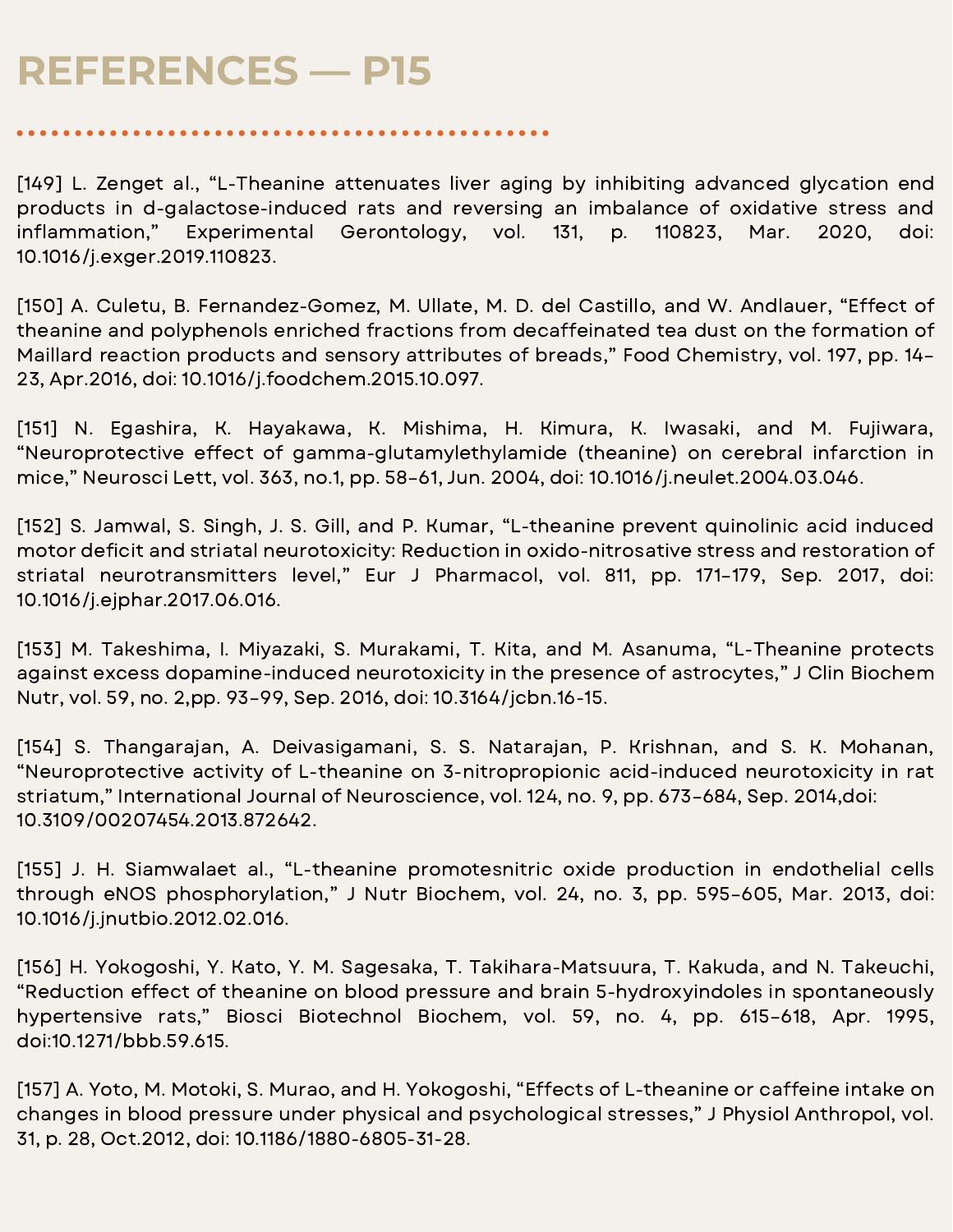[149] L. Zenget al., "L-Theanine attenuates liver aging by inhibiting advanced glycation end products in d-galactose-induced rats and reversing an imbalance of oxidative stress and inflammation," Experimental Gerontology, vol. 131, p. 110823, Mar. 2020, doi: 10.1016/j.exger.2019.110823.

[150] A. Culetu, B. Fernandez-Gomez, M. Ullate, M. D. del Castillo, and W. Andlauer, "Effect of theanine and polyphenols enriched fractions from decaffeinated tea dust on the formation of Maillard reaction products and sensory attributes of breads," Food Chemistry, vol. 197, pp. 14– 23, Apr.2016, doi: 10.1016/j.foodchem.2015.10.097.

[151] N. Egashira, K. Hayakawa, K. Mishima, H. Kimura, K. Iwasaki, and M. Fujiwara, "Neuroprotective effect of gamma-glutamylethylamide (theanine) on cerebral infarction in mice," Neurosci Lett, vol. 363, no.1, pp. 58–61, Jun. 2004, doi: 10.1016/j.neulet.2004.03.046.

[152] S. Jamwal, S. Singh, J. S. Gill, and P. Kumar, "L-theanine prevent quinolinic acid induced motor deficit and striatal neurotoxicity: Reduction in oxido-nitrosative stress and restoration of striatal neurotransmitters level," Eur J Pharmacol, vol. 811, pp. 171–179, Sep. 2017, doi: 10.1016/j.ejphar.2017.06.016.

[153] M. Takeshima, I. Miyazaki, S. Murakami, T. Kita, and M. Asanuma, "L-Theanine protects against excess dopamine-induced neurotoxicity in the presence of astrocytes," J Clin Biochem Nutr, vol. 59, no. 2,pp. 93–99, Sep. 2016, doi: 10.3164/jcbn.16-15.

[154] S. Thangarajan, A. Deivasigamani, S. S. Natarajan, P. Krishnan, and S. K. Mohanan, "Neuroprotective activity of L-theanine on 3-nitropropionic acid-induced neurotoxicity in rat striatum," International Journal of Neuroscience, vol. 124, no. 9, pp. 673–684, Sep. 2014,doi: 10.3109/00207454.2013.872642.

[155] J. H. Siamwalaet al., "L-theanine promotesnitric oxide production in endothelial cells through eNOS phosphorylation," J Nutr Biochem, vol. 24, no. 3, pp. 595–605, Mar. 2013, doi: 10.1016/j.jnutbio.2012.02.016.

[156] H. Yokogoshi, Y. Kato, Y. M. Sagesaka, T. Takihara-Matsuura, T. Kakuda, and N. Takeuchi, "Reduction effect of theanine on blood pressure and brain 5-hydroxyindoles in spontaneously hypertensive rats," Biosci Biotechnol Biochem, vol. 59, no. 4, pp. 615–618, Apr. 1995, doi:10.1271/bbb.59.615.

[157] A. Yoto, M. Motoki, S. Murao, and H. Yokogoshi, "Effects of L-theanine or caffeine intake on changes in blood pressure under physical and psychological stresses," J Physiol Anthropol, vol. 31, p. 28, Oct.2012, doi: 10.1186/1880-6805-31-28.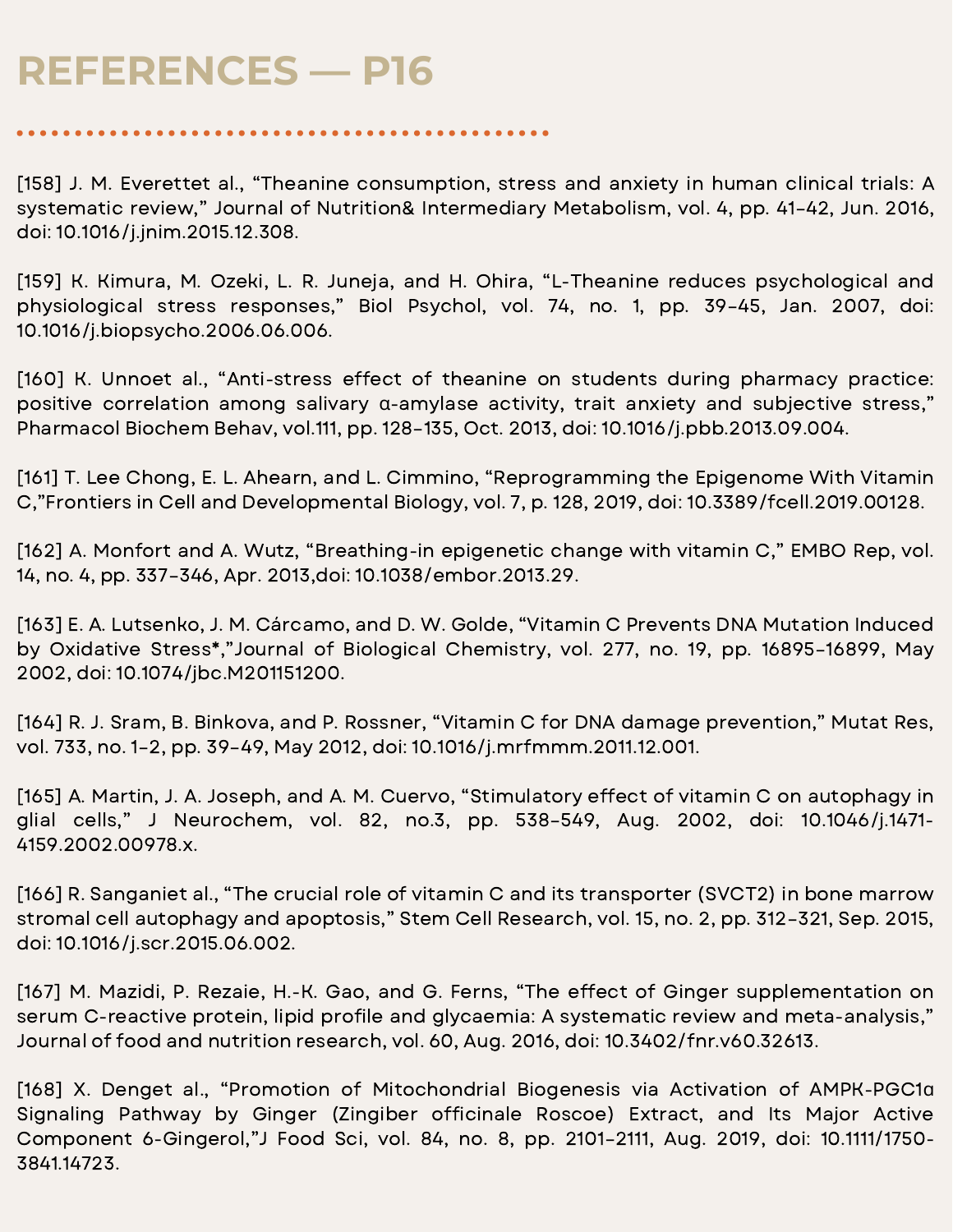[158] J. M. Everettet al., "Theanine consumption, stress and anxiety in human clinical trials: A systematic review," Journal of Nutrition& Intermediary Metabolism, vol. 4, pp. 41–42, Jun. 2016, doi: 10.1016/j.jnim.2015.12.308.

[159] K. Kimura, M. Ozeki, L. R. Juneja, and H. Ohira, "L-Theanine reduces psychological and physiological stress responses," Biol Psychol, vol. 74, no. 1, pp. 39–45, Jan. 2007, doi: 10.1016/j.biopsycho.2006.06.006.

[160] K. Unnoet al., "Anti-stress effect of theanine on students during pharmacy practice: positive correlation among salivary α-amylase activity, trait anxiety and subjective stress," Pharmacol Biochem Behav, vol.111, pp. 128–135, Oct. 2013, doi: 10.1016/j.pbb.2013.09.004.

[161] T. Lee Chong, E. L. Ahearn, and L. Cimmino, "Reprogramming the Epigenome With Vitamin C,"Frontiers in Cell and Developmental Biology, vol. 7, p. 128, 2019, doi: 10.3389/fcell.2019.00128.

[162] A. Monfort and A. Wutz, "Breathing-in epigenetic change with vitamin C," EMBO Rep, vol. 14, no. 4, pp. 337–346, Apr. 2013,doi: 10.1038/embor.2013.29.

[163] E. A. Lutsenko, J. M. Cárcamo, and D. W. Golde, "Vitamin C Prevents DNA Mutation Induced by Oxidative Stress\*,"Journal of Biological Chemistry, vol. 277, no. 19, pp. 16895–16899, May 2002, doi: 10.1074/jbc.M201151200.

[164] R. J. Sram, B. Binkova, and P. Rossner, "Vitamin C for DNA damage prevention," Mutat Res, vol. 733, no. 1–2, pp. 39–49, May 2012, doi: 10.1016/j.mrfmmm.2011.12.001.

[165] A. Martin, J. A. Joseph, and A. M. Cuervo, "Stimulatory effect of vitamin C on autophagy in glial cells," J Neurochem, vol. 82, no.3, pp. 538–549, Aug. 2002, doi: 10.1046/j.1471- 4159.2002.00978.x.

[166] R. Sanganiet al., "The crucial role of vitamin C and its transporter (SVCT2) in bone marrow stromal cell autophagy and apoptosis," Stem Cell Research, vol. 15, no. 2, pp. 312–321, Sep. 2015, doi: 10.1016/j.scr.2015.06.002.

[167] M. Mazidi, P. Rezaie, H.-K. Gao, and G. Ferns, "The effect of Ginger supplementation on serum C-reactive protein, lipid profile and glycaemia: A systematic review and meta-analysis," Journal of food and nutrition research, vol. 60, Aug. 2016, doi: 10.3402/fnr.v60.32613.

[168] X. Denget al., "Promotion of Mitochondrial Biogenesis via Activation of AMPK-PGC1ɑ Signaling Pathway by Ginger (Zingiber officinale Roscoe) Extract, and Its Major Active Component 6-Gingerol,"J Food Sci, vol. 84, no. 8, pp. 2101–2111, Aug. 2019, doi: 10.1111/1750- 3841.14723.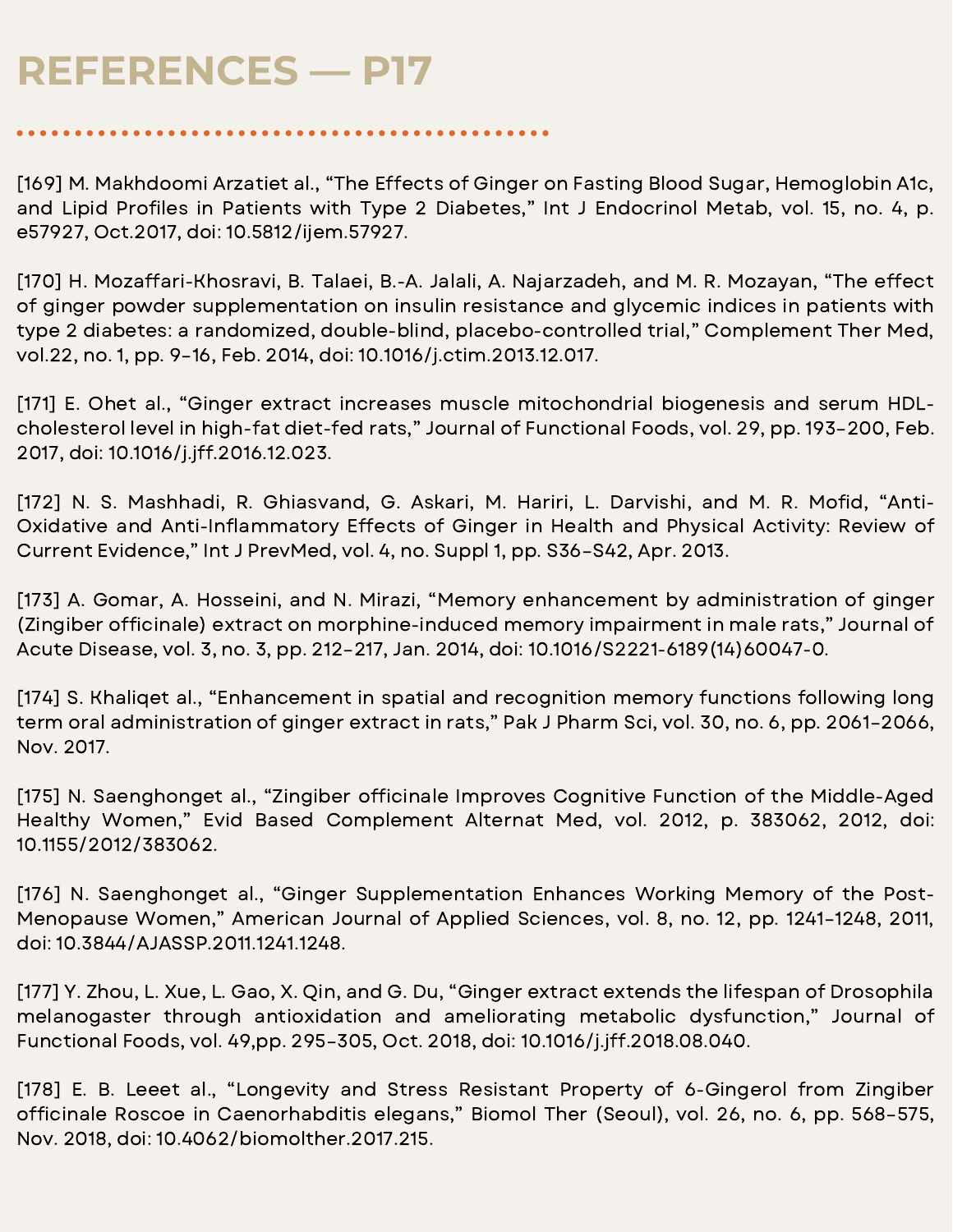[169] M. Makhdoomi Arzatiet al., "The Effects of Ginger on Fasting Blood Sugar, Hemoglobin A1c, and Lipid Profiles in Patients with Type 2 Diabetes," Int J Endocrinol Metab, vol. 15, no. 4, p. e57927, Oct.2017, doi: 10.5812/ijem.57927.

[170] H. Mozaffari-Khosravi, B. Talaei, B.-A. Jalali, A. Najarzadeh, and M. R. Mozayan, "The effect of ginger powder supplementation on insulin resistance and glycemic indices in patients with type 2 diabetes: a randomized, double-blind, placebo-controlled trial," Complement Ther Med, vol.22, no. 1, pp. 9–16, Feb. 2014, doi: 10.1016/j.ctim.2013.12.017.

[171] E. Ohet al., "Ginger extract increases muscle mitochondrial biogenesis and serum HDLcholesterol level in high-fat diet-fed rats," Journal of Functional Foods, vol. 29, pp. 193–200, Feb. 2017, doi: 10.1016/j.jff.2016.12.023.

[172] N. S. Mashhadi, R. Ghiasvand, G. Askari, M. Hariri, L. Darvishi, and M. R. Mofid, "Anti-Oxidative and Anti-Inflammatory Effects of Ginger in Health and Physical Activity: Review of Current Evidence," Int J PrevMed, vol. 4, no. Suppl 1, pp. S36–S42, Apr. 2013.

[173] A. Gomar, A. Hosseini, and N. Mirazi, "Memory enhancement by administration of ginger (Zingiber officinale) extract on morphine-induced memory impairment in male rats," Journal of Acute Disease, vol. 3, no. 3, pp. 212–217, Jan. 2014, doi: 10.1016/S2221-6189(14)60047-0.

[174] S. Khaliget al., "Enhancement in spatial and recognition memory functions following long term oral administration of ginger extract in rats," Pak J Pharm Sci, vol. 30, no. 6, pp. 2061–2066, Nov. 2017.

[175] N. Saenghonget al., "Zingiber officinale Improves Cognitive Function of the Middle-Aged Healthy Women," Evid Based Complement Alternat Med, vol. 2012, p. 383062, 2012, doi: 10.1155/2012/383062.

[176] N. Saenghonget al., "Ginger Supplementation Enhances Working Memory of the Post-Menopause Women," American Journal of Applied Sciences, vol. 8, no. 12, pp. 1241–1248, 2011, doi: 10.3844/AJASSP.2011.1241.1248.

[177] Y. Zhou, L. Xue, L. Gao, X. Qin, and G. Du, "Ginger extract extends the lifespan of Drosophila melanogaster through antioxidation and ameliorating metabolic dysfunction," Journal of Functional Foods, vol. 49,pp. 295–305, Oct. 2018, doi: 10.1016/j.jff.2018.08.040.

[178] E. B. Leeet al., "Longevity and Stress Resistant Property of 6-Gingerol from Zingiber officinale Roscoe in Caenorhabditis elegans," Biomol Ther (Seoul), vol. 26, no. 6, pp. 568-575, Nov. 2018, doi: 10.4062/biomolther.2017.215.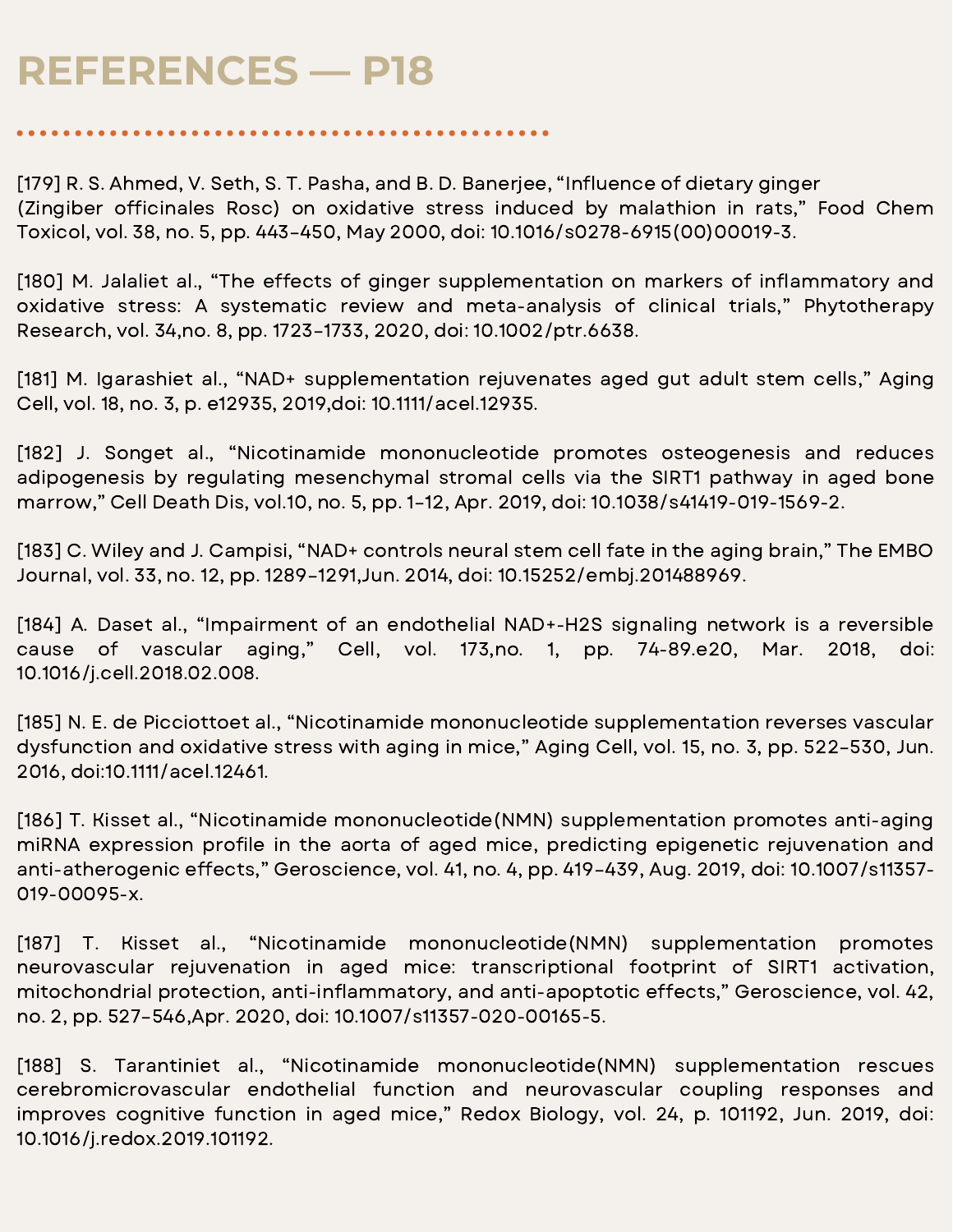[179] R. S. Ahmed, V. Seth, S. T. Pasha, and B. D. Banerjee, "Influence of dietary ginger (Zingiber officinales Rosc) on oxidative stress induced by malathion in rats," Food Chem Toxicol, vol. 38, no. 5, pp. 443–450, May 2000, doi: 10.1016/s0278-6915(00)00019-3.

[180] M. Jalaliet al., "The effects of ginger supplementation on markers of inflammatory and oxidative stress: A systematic review and meta-analysis of clinical trials," Phytotherapy Research, vol. 34,no. 8, pp. 1723–1733, 2020, doi: 10.1002/ptr.6638.

[181] M. Igarashiet al., "NAD+ supplementation rejuvenates aged gut adult stem cells," Aging Cell, vol. 18, no. 3, p. e12935, 2019,doi: 10.1111/acel.12935.

[182] J. Songet al., "Nicotinamide mononucleotide promotes osteogenesis and reduces adipogenesis by regulating mesenchymal stromal cells via the SIRT1 pathway in aged bone marrow," Cell Death Dis, vol.10, no. 5, pp. 1–12, Apr. 2019, doi: 10.1038/s41419-019-1569-2.

[183] C. Wiley and J. Campisi, "NAD+ controls neural stem cell fate in the aging brain," The EMBO Journal, vol. 33, no. 12, pp. 1289–1291,Jun. 2014, doi: 10.15252/embj.201488969.

[184] A. Daset al., "Impairment of an endothelial NAD+-H2S signaling network is a reversible cause of vascular aging," Cell, vol. 173,no. 1, pp. 74-89.e20, Mar. 2018, doi: 10.1016/j.cell.2018.02.008.

[185] N. E. de Picciottoet al., "Nicotinamide mononucleotide supplementation reverses vascular dysfunction and oxidative stress with aging in mice," Aging Cell, vol. 15, no. 3, pp. 522–530, Jun. 2016, doi:10.1111/acel.12461.

[186] T. Kisset al., "Nicotinamide mononucleotide(NMN) supplementation promotes anti-aging miRNA expression profile in the aorta of aged mice, predicting epigenetic rejuvenation and anti-atherogenic effects," Geroscience, vol. 41, no. 4, pp. 419–439, Aug. 2019, doi: 10.1007/s11357- 019-00095-x.

[187] T. Kisset al., "Nicotinamide mononucleotide(NMN) supplementation promotes neurovascular rejuvenation in aged mice: transcriptional footprint of SIRT1 activation, mitochondrial protection, anti-inflammatory, and anti-apoptotic effects," Geroscience, vol. 42, no. 2, pp. 527–546,Apr. 2020, doi: 10.1007/s11357-020-00165-5.

[188] S. Tarantiniet al., "Nicotinamide mononucleotide(NMN) supplementation rescues cerebromicrovascular endothelial function and neurovascular coupling responses and improves cognitive function in aged mice," Redox Biology, vol. 24, p. 101192, Jun. 2019, doi: 10.1016/j.redox.2019.101192.